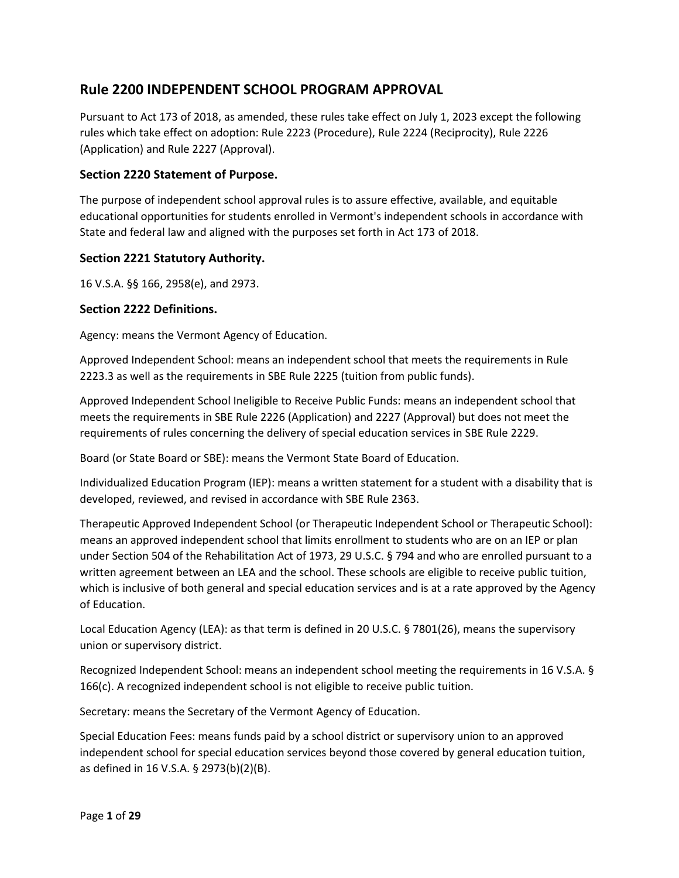# **Rule 2200 INDEPENDENT SCHOOL PROGRAM APPROVAL**

Pursuant to Act 173 of 2018, as amended, these rules take effect on July 1, 2023 except the following rules which take effect on adoption: Rule 2223 (Procedure), Rule 2224 (Reciprocity), Rule 2226 (Application) and Rule 2227 (Approval).

## **Section 2220 Statement of Purpose.**

The purpose of independent school approval rules is to assure effective, available, and equitable educational opportunities for students enrolled in Vermont's independent schools in accordance with State and federal law and aligned with the purposes set forth in Act 173 of 2018.

## **Section 2221 Statutory Authority.**

16 V.S.A. §§ 166, 2958(e), and 2973.

## **Section 2222 Definitions.**

Agency: means the Vermont Agency of Education.

Approved Independent School: means an independent school that meets the requirements in Rule 2223.3 as well as the requirements in SBE Rule 2225 (tuition from public funds).

Approved Independent School Ineligible to Receive Public Funds: means an independent school that meets the requirements in SBE Rule 2226 (Application) and 2227 (Approval) but does not meet the requirements of rules concerning the delivery of special education services in SBE Rule 2229.

Board (or State Board or SBE): means the Vermont State Board of Education.

Individualized Education Program (IEP): means a written statement for a student with a disability that is developed, reviewed, and revised in accordance with SBE Rule 2363.

Therapeutic Approved Independent School (or Therapeutic Independent School or Therapeutic School): means an approved independent school that limits enrollment to students who are on an IEP or plan under Section 504 of the Rehabilitation Act of 1973, 29 U.S.C. § 794 and who are enrolled pursuant to a written agreement between an LEA and the school. These schools are eligible to receive public tuition, which is inclusive of both general and special education services and is at a rate approved by the Agency of Education.

Local Education Agency (LEA): as that term is defined in 20 U.S.C. § 7801(26), means the supervisory union or supervisory district.

Recognized Independent School: means an independent school meeting the requirements in 16 V.S.A. § 166(c). A recognized independent school is not eligible to receive public tuition.

Secretary: means the Secretary of the Vermont Agency of Education.

Special Education Fees: means funds paid by a school district or supervisory union to an approved independent school for special education services beyond those covered by general education tuition, as defined in 16 V.S.A. § 2973(b)(2)(B).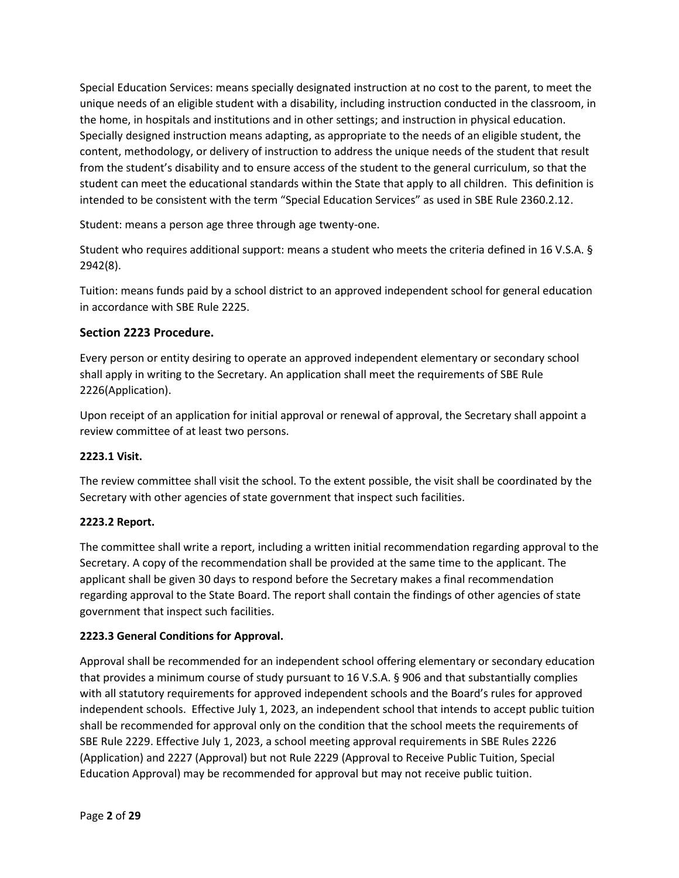Special Education Services: means specially designated instruction at no cost to the parent, to meet the unique needs of an eligible student with a disability, including instruction conducted in the classroom, in the home, in hospitals and institutions and in other settings; and instruction in physical education. Specially designed instruction means adapting, as appropriate to the needs of an eligible student, the content, methodology, or delivery of instruction to address the unique needs of the student that result from the student's disability and to ensure access of the student to the general curriculum, so that the student can meet the educational standards within the State that apply to all children. This definition is intended to be consistent with the term "Special Education Services" as used in SBE Rule 2360.2.12.

Student: means a person age three through age twenty-one.

Student who requires additional support: means a student who meets the criteria defined in 16 V.S.A. § 2942(8).

Tuition: means funds paid by a school district to an approved independent school for general education in accordance with SBE Rule 2225.

## **Section 2223 Procedure.**

Every person or entity desiring to operate an approved independent elementary or secondary school shall apply in writing to the Secretary. An application shall meet the requirements of SBE Rule 2226(Application).

Upon receipt of an application for initial approval or renewal of approval, the Secretary shall appoint a review committee of at least two persons.

## **2223.1 Visit.**

The review committee shall visit the school. To the extent possible, the visit shall be coordinated by the Secretary with other agencies of state government that inspect such facilities.

## **2223.2 Report.**

The committee shall write a report, including a written initial recommendation regarding approval to the Secretary. A copy of the recommendation shall be provided at the same time to the applicant. The applicant shall be given 30 days to respond before the Secretary makes a final recommendation regarding approval to the State Board. The report shall contain the findings of other agencies of state government that inspect such facilities.

## **2223.3 General Conditions for Approval.**

Approval shall be recommended for an independent school offering elementary or secondary education that provides a minimum course of study pursuant to 16 V.S.A. § 906 and that substantially complies with all statutory requirements for approved independent schools and the Board's rules for approved independent schools. Effective July 1, 2023, an independent school that intends to accept public tuition shall be recommended for approval only on the condition that the school meets the requirements of SBE Rule 2229. Effective July 1, 2023, a school meeting approval requirements in SBE Rules 2226 (Application) and 2227 (Approval) but not Rule 2229 (Approval to Receive Public Tuition, Special Education Approval) may be recommended for approval but may not receive public tuition.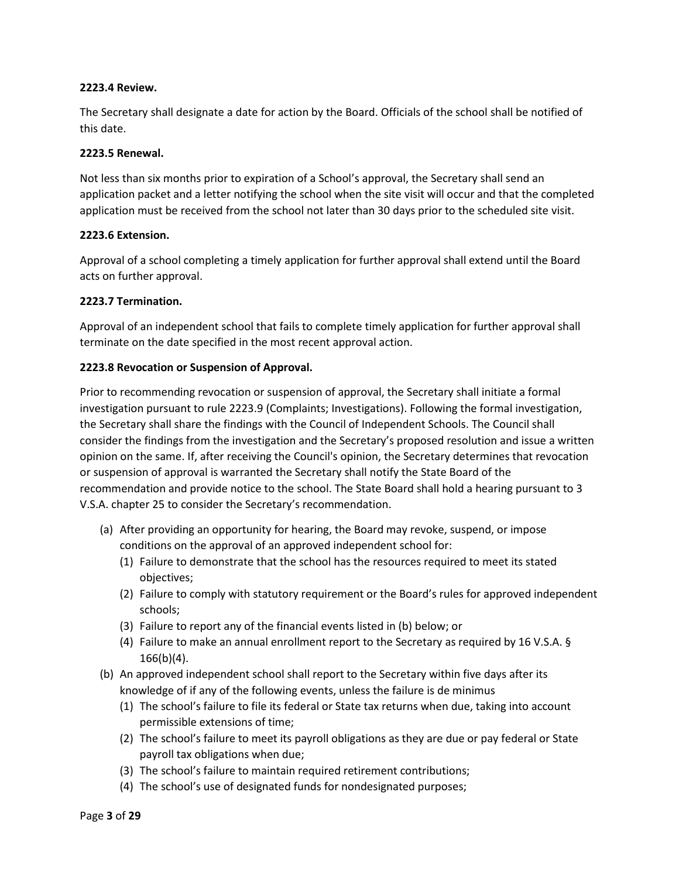### **2223.4 Review.**

The Secretary shall designate a date for action by the Board. Officials of the school shall be notified of this date.

### **2223.5 Renewal.**

Not less than six months prior to expiration of a School's approval, the Secretary shall send an application packet and a letter notifying the school when the site visit will occur and that the completed application must be received from the school not later than 30 days prior to the scheduled site visit.

### **2223.6 Extension.**

Approval of a school completing a timely application for further approval shall extend until the Board acts on further approval.

### **2223.7 Termination.**

Approval of an independent school that fails to complete timely application for further approval shall terminate on the date specified in the most recent approval action.

### **2223.8 Revocation or Suspension of Approval.**

Prior to recommending revocation or suspension of approval, the Secretary shall initiate a formal investigation pursuant to rule 2223.9 (Complaints; Investigations). Following the formal investigation, the Secretary shall share the findings with the Council of Independent Schools. The Council shall consider the findings from the investigation and the Secretary's proposed resolution and issue a written opinion on the same. If, after receiving the Council's opinion, the Secretary determines that revocation or suspension of approval is warranted the Secretary shall notify the State Board of the recommendation and provide notice to the school. The State Board shall hold a hearing pursuant to 3 V.S.A. chapter 25 to consider the Secretary's recommendation.

- (a) After providing an opportunity for hearing, the Board may revoke, suspend, or impose conditions on the approval of an approved independent school for:
	- (1) Failure to demonstrate that the school has the resources required to meet its stated objectives;
	- (2) Failure to comply with statutory requirement or the Board's rules for approved independent schools;
	- (3) Failure to report any of the financial events listed in (b) below; or
	- (4) Failure to make an annual enrollment report to the Secretary as required by 16 V.S.A. §  $166(b)(4)$ .
- (b) An approved independent school shall report to the Secretary within five days after its knowledge of if any of the following events, unless the failure is de minimus
	- (1) The school's failure to file its federal or State tax returns when due, taking into account permissible extensions of time;
	- (2) The school's failure to meet its payroll obligations as they are due or pay federal or State payroll tax obligations when due;
	- (3) The school's failure to maintain required retirement contributions;
	- (4) The school's use of designated funds for nondesignated purposes;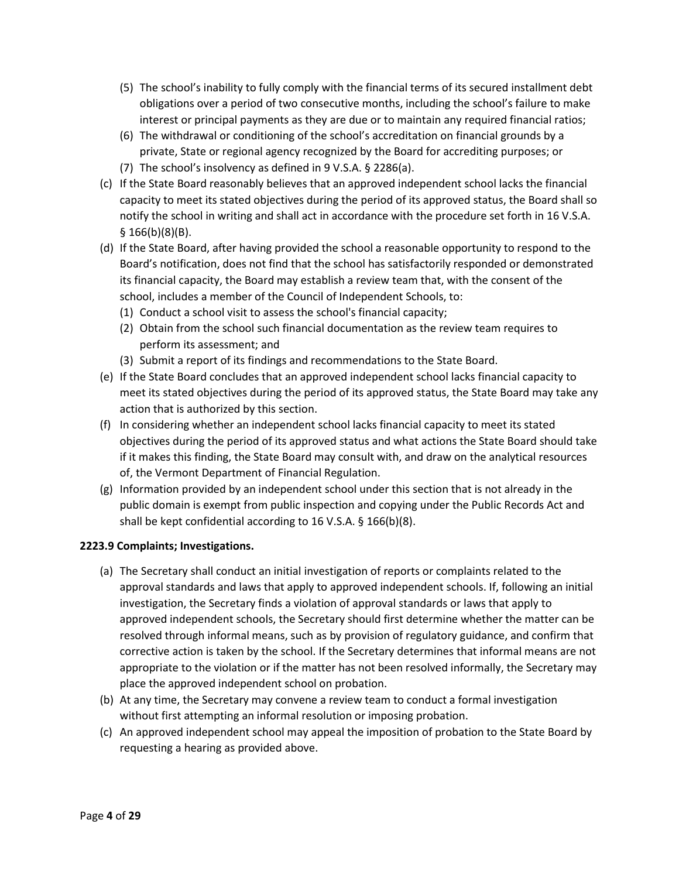- (5) The school's inability to fully comply with the financial terms of its secured installment debt obligations over a period of two consecutive months, including the school's failure to make interest or principal payments as they are due or to maintain any required financial ratios;
- (6) The withdrawal or conditioning of the school's accreditation on financial grounds by a private, State or regional agency recognized by the Board for accrediting purposes; or
- (7) The school's insolvency as defined in 9 V.S.A. § 2286(a).
- (c) If the State Board reasonably believes that an approved independent school lacks the financial capacity to meet its stated objectives during the period of its approved status, the Board shall so notify the school in writing and shall act in accordance with the procedure set forth in 16 V.S.A. § 166(b)(8)(B).
- (d) If the State Board, after having provided the school a reasonable opportunity to respond to the Board's notification, does not find that the school has satisfactorily responded or demonstrated its financial capacity, the Board may establish a review team that, with the consent of the school, includes a member of the Council of Independent Schools, to:
	- (1) Conduct a school visit to assess the school's financial capacity;
	- (2) Obtain from the school such financial documentation as the review team requires to perform its assessment; and
	- (3) Submit a report of its findings and recommendations to the State Board.
- (e) If the State Board concludes that an approved independent school lacks financial capacity to meet its stated objectives during the period of its approved status, the State Board may take any action that is authorized by this section.
- (f) In considering whether an independent school lacks financial capacity to meet its stated objectives during the period of its approved status and what actions the State Board should take if it makes this finding, the State Board may consult with, and draw on the analytical resources of, the Vermont Department of Financial Regulation.
- (g) Information provided by an independent school under this section that is not already in the public domain is exempt from public inspection and copying under the Public Records Act and shall be kept confidential according to 16 V.S.A. § 166(b)(8).

## **2223.9 Complaints; Investigations.**

- (a) The Secretary shall conduct an initial investigation of reports or complaints related to the approval standards and laws that apply to approved independent schools. If, following an initial investigation, the Secretary finds a violation of approval standards or laws that apply to approved independent schools, the Secretary should first determine whether the matter can be resolved through informal means, such as by provision of regulatory guidance, and confirm that corrective action is taken by the school. If the Secretary determines that informal means are not appropriate to the violation or if the matter has not been resolved informally, the Secretary may place the approved independent school on probation.
- (b) At any time, the Secretary may convene a review team to conduct a formal investigation without first attempting an informal resolution or imposing probation.
- (c) An approved independent school may appeal the imposition of probation to the State Board by requesting a hearing as provided above.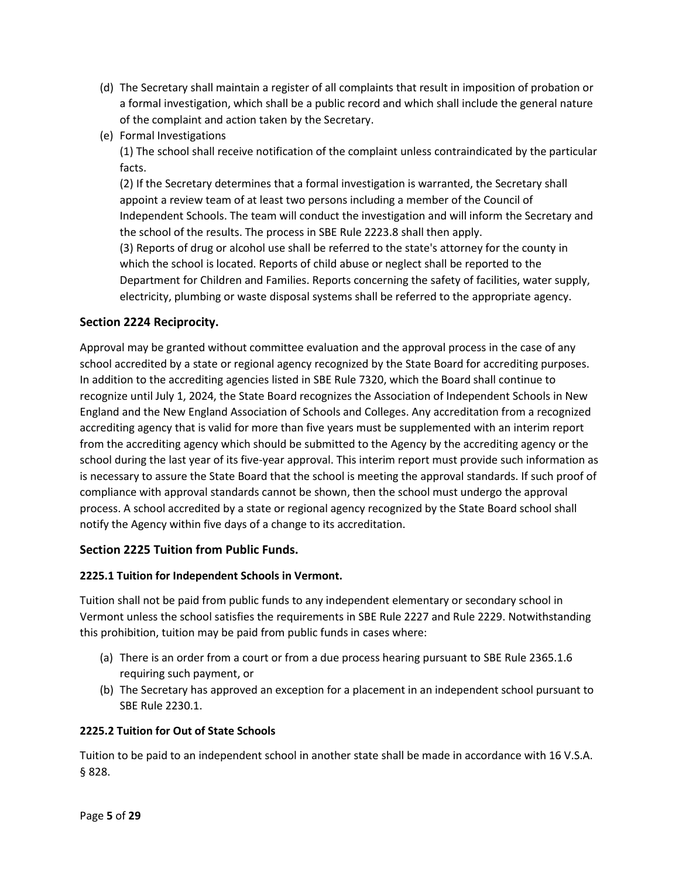- (d) The Secretary shall maintain a register of all complaints that result in imposition of probation or a formal investigation, which shall be a public record and which shall include the general nature of the complaint and action taken by the Secretary.
- (e) Formal Investigations

(1) The school shall receive notification of the complaint unless contraindicated by the particular facts.

(2) If the Secretary determines that a formal investigation is warranted, the Secretary shall appoint a review team of at least two persons including a member of the Council of Independent Schools. The team will conduct the investigation and will inform the Secretary and the school of the results. The process in SBE Rule 2223.8 shall then apply.

(3) Reports of drug or alcohol use shall be referred to the state's attorney for the county in which the school is located. Reports of child abuse or neglect shall be reported to the Department for Children and Families. Reports concerning the safety of facilities, water supply, electricity, plumbing or waste disposal systems shall be referred to the appropriate agency.

## **Section 2224 Reciprocity.**

Approval may be granted without committee evaluation and the approval process in the case of any school accredited by a state or regional agency recognized by the State Board for accrediting purposes. In addition to the accrediting agencies listed in SBE Rule 7320, which the Board shall continue to recognize until July 1, 2024, the State Board recognizes the Association of Independent Schools in New England and the New England Association of Schools and Colleges. Any accreditation from a recognized accrediting agency that is valid for more than five years must be supplemented with an interim report from the accrediting agency which should be submitted to the Agency by the accrediting agency or the school during the last year of its five-year approval. This interim report must provide such information as is necessary to assure the State Board that the school is meeting the approval standards. If such proof of compliance with approval standards cannot be shown, then the school must undergo the approval process. A school accredited by a state or regional agency recognized by the State Board school shall notify the Agency within five days of a change to its accreditation.

## **Section 2225 Tuition from Public Funds.**

### **2225.1 Tuition for Independent Schools in Vermont.**

Tuition shall not be paid from public funds to any independent elementary or secondary school in Vermont unless the school satisfies the requirements in SBE Rule 2227 and Rule 2229. Notwithstanding this prohibition, tuition may be paid from public funds in cases where:

- (a) There is an order from a court or from a due process hearing pursuant to SBE Rule 2365.1.6 requiring such payment, or
- (b) The Secretary has approved an exception for a placement in an independent school pursuant to SBE Rule 2230.1.

### **2225.2 Tuition for Out of State Schools**

Tuition to be paid to an independent school in another state shall be made in accordance with 16 V.S.A. § 828.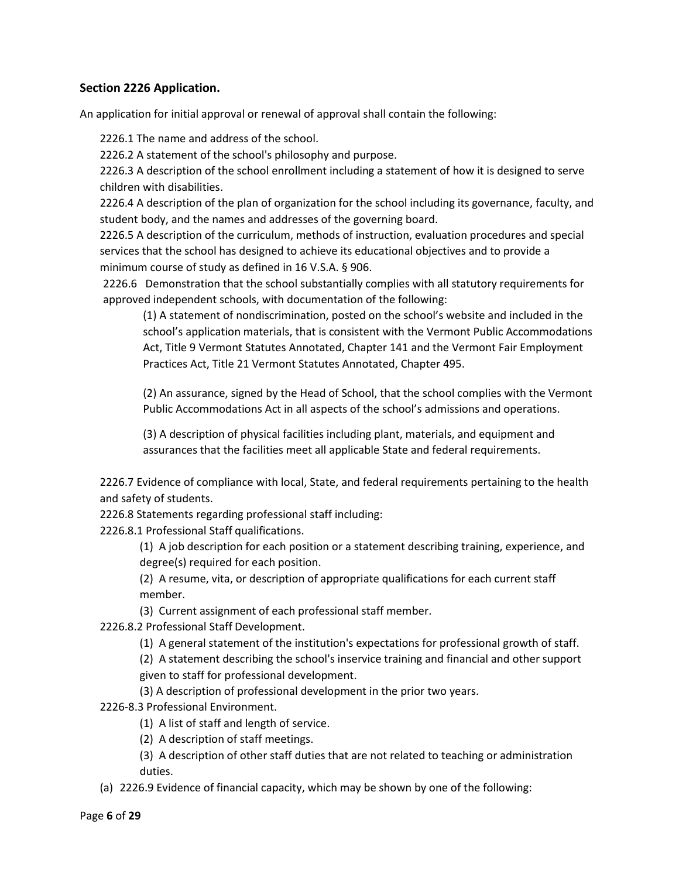## **Section 2226 Application.**

An application for initial approval or renewal of approval shall contain the following:

2226.1 The name and address of the school.

2226.2 A statement of the school's philosophy and purpose.

2226.3 A description of the school enrollment including a statement of how it is designed to serve children with disabilities.

2226.4 A description of the plan of organization for the school including its governance, faculty, and student body, and the names and addresses of the governing board.

2226.5 A description of the curriculum, methods of instruction, evaluation procedures and special services that the school has designed to achieve its educational objectives and to provide a minimum course of study as defined in 16 V.S.A. § 906.

2226.6 Demonstration that the school substantially complies with all statutory requirements for approved independent schools, with documentation of the following:

(1) A statement of nondiscrimination, posted on the school's website and included in the school's application materials, that is consistent with the Vermont Public Accommodations Act, Title 9 Vermont Statutes Annotated, Chapter 141 and the Vermont Fair Employment Practices Act, Title 21 Vermont Statutes Annotated, Chapter 495.

(2) An assurance, signed by the Head of School, that the school complies with the Vermont Public Accommodations Act in all aspects of the school's admissions and operations.

(3) A description of physical facilities including plant, materials, and equipment and assurances that the facilities meet all applicable State and federal requirements.

2226.7 Evidence of compliance with local, State, and federal requirements pertaining to the health and safety of students.

2226.8 Statements regarding professional staff including:

2226.8.1 Professional Staff qualifications.

(1) A job description for each position or a statement describing training, experience, and degree(s) required for each position.

(2) A resume, vita, or description of appropriate qualifications for each current staff member.

- (3) Current assignment of each professional staff member.
- 2226.8.2 Professional Staff Development.
	- (1) A general statement of the institution's expectations for professional growth of staff.

(2) A statement describing the school's inservice training and financial and other support

given to staff for professional development.

(3) A description of professional development in the prior two years.

2226-8.3 Professional Environment.

- (1) A list of staff and length of service.
- (2) A description of staff meetings.

(3) A description of other staff duties that are not related to teaching or administration duties.

(a) 2226.9 Evidence of financial capacity, which may be shown by one of the following: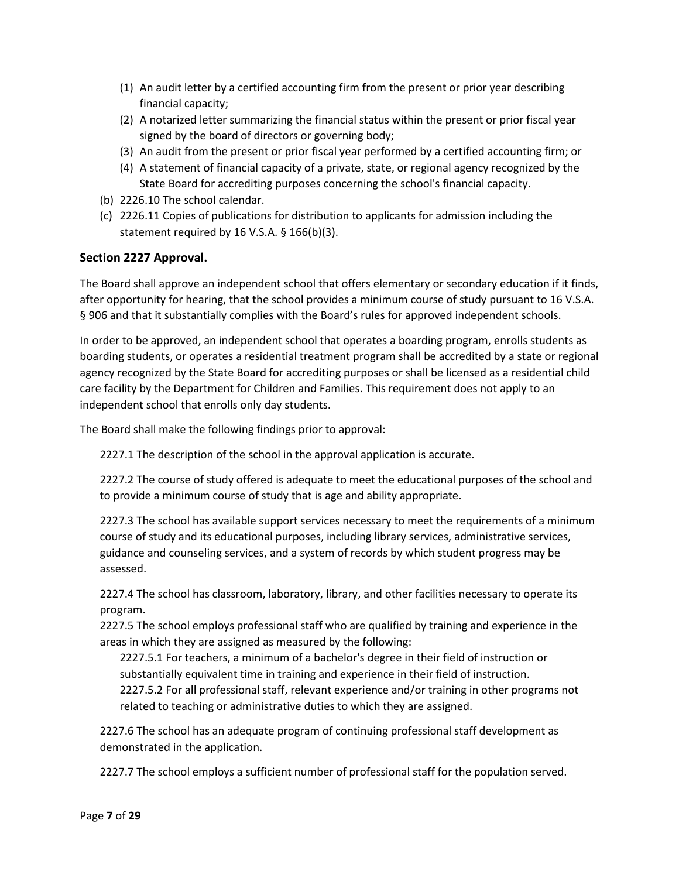- (1) An audit letter by a certified accounting firm from the present or prior year describing financial capacity;
- (2) A notarized letter summarizing the financial status within the present or prior fiscal year signed by the board of directors or governing body;
- (3) An audit from the present or prior fiscal year performed by a certified accounting firm; or
- (4) A statement of financial capacity of a private, state, or regional agency recognized by the State Board for accrediting purposes concerning the school's financial capacity.
- (b) 2226.10 The school calendar.
- (c) 2226.11 Copies of publications for distribution to applicants for admission including the statement required by 16 V.S.A. § 166(b)(3).

## **Section 2227 Approval.**

The Board shall approve an independent school that offers elementary or secondary education if it finds, after opportunity for hearing, that the school provides a minimum course of study pursuant to 16 V.S.A. § 906 and that it substantially complies with the Board's rules for approved independent schools.

In order to be approved, an independent school that operates a boarding program, enrolls students as boarding students, or operates a residential treatment program shall be accredited by a state or regional agency recognized by the State Board for accrediting purposes or shall be licensed as a residential child care facility by the Department for Children and Families. This requirement does not apply to an independent school that enrolls only day students.

The Board shall make the following findings prior to approval:

2227.1 The description of the school in the approval application is accurate.

2227.2 The course of study offered is adequate to meet the educational purposes of the school and to provide a minimum course of study that is age and ability appropriate.

2227.3 The school has available support services necessary to meet the requirements of a minimum course of study and its educational purposes, including library services, administrative services, guidance and counseling services, and a system of records by which student progress may be assessed.

2227.4 The school has classroom, laboratory, library, and other facilities necessary to operate its program.

2227.5 The school employs professional staff who are qualified by training and experience in the areas in which they are assigned as measured by the following:

2227.5.1 For teachers, a minimum of a bachelor's degree in their field of instruction or substantially equivalent time in training and experience in their field of instruction. 2227.5.2 For all professional staff, relevant experience and/or training in other programs not

related to teaching or administrative duties to which they are assigned.

2227.6 The school has an adequate program of continuing professional staff development as demonstrated in the application.

2227.7 The school employs a sufficient number of professional staff for the population served.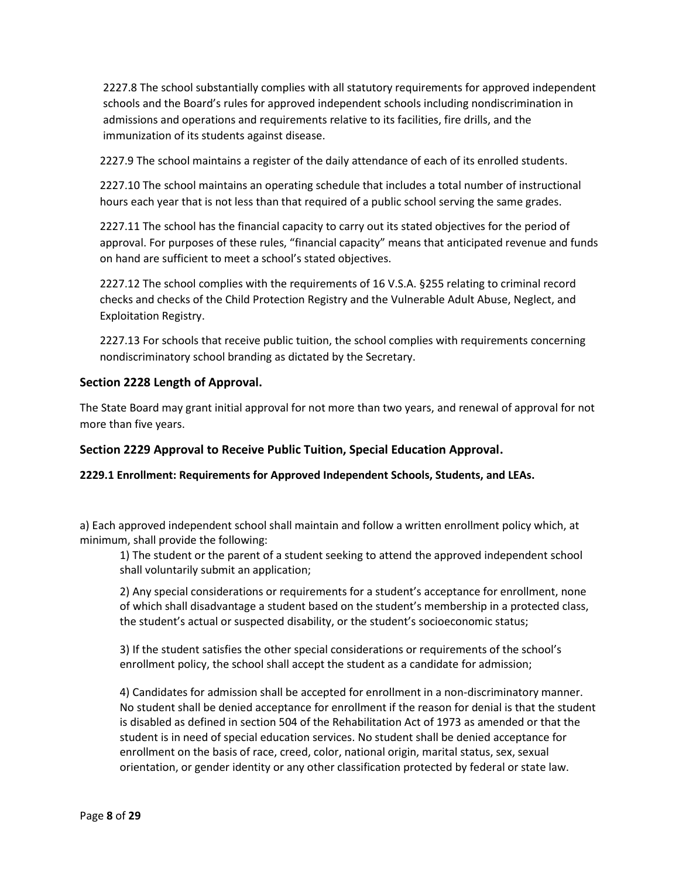2227.8 The school substantially complies with all statutory requirements for approved independent schools and the Board's rules for approved independent schools including nondiscrimination in admissions and operations and requirements relative to its facilities, fire drills, and the immunization of its students against disease.

2227.9 The school maintains a register of the daily attendance of each of its enrolled students.

2227.10 The school maintains an operating schedule that includes a total number of instructional hours each year that is not less than that required of a public school serving the same grades.

2227.11 The school has the financial capacity to carry out its stated objectives for the period of approval. For purposes of these rules, "financial capacity" means that anticipated revenue and funds on hand are sufficient to meet a school's stated objectives.

2227.12 The school complies with the requirements of 16 V.S.A. §255 relating to criminal record checks and checks of the Child Protection Registry and the Vulnerable Adult Abuse, Neglect, and Exploitation Registry.

2227.13 For schools that receive public tuition, the school complies with requirements concerning nondiscriminatory school branding as dictated by the Secretary.

## **Section 2228 Length of Approval.**

The State Board may grant initial approval for not more than two years, and renewal of approval for not more than five years.

### **Section 2229 Approval to Receive Public Tuition, Special Education Approval.**

**2229.1 Enrollment: Requirements for Approved Independent Schools, Students, and LEAs.**

a) Each approved independent school shall maintain and follow a written enrollment policy which, at minimum, shall provide the following:

1) The student or the parent of a student seeking to attend the approved independent school shall voluntarily submit an application;

2) Any special considerations or requirements for a student's acceptance for enrollment, none of which shall disadvantage a student based on the student's membership in a protected class, the student's actual or suspected disability, or the student's socioeconomic status;

3) If the student satisfies the other special considerations or requirements of the school's enrollment policy, the school shall accept the student as a candidate for admission;

4) Candidates for admission shall be accepted for enrollment in a non-discriminatory manner. No student shall be denied acceptance for enrollment if the reason for denial is that the student is disabled as defined in section 504 of the Rehabilitation Act of 1973 as amended or that the student is in need of special education services. No student shall be denied acceptance for enrollment on the basis of race, creed, color, national origin, marital status, sex, sexual orientation, or gender identity or any other classification protected by federal or state law.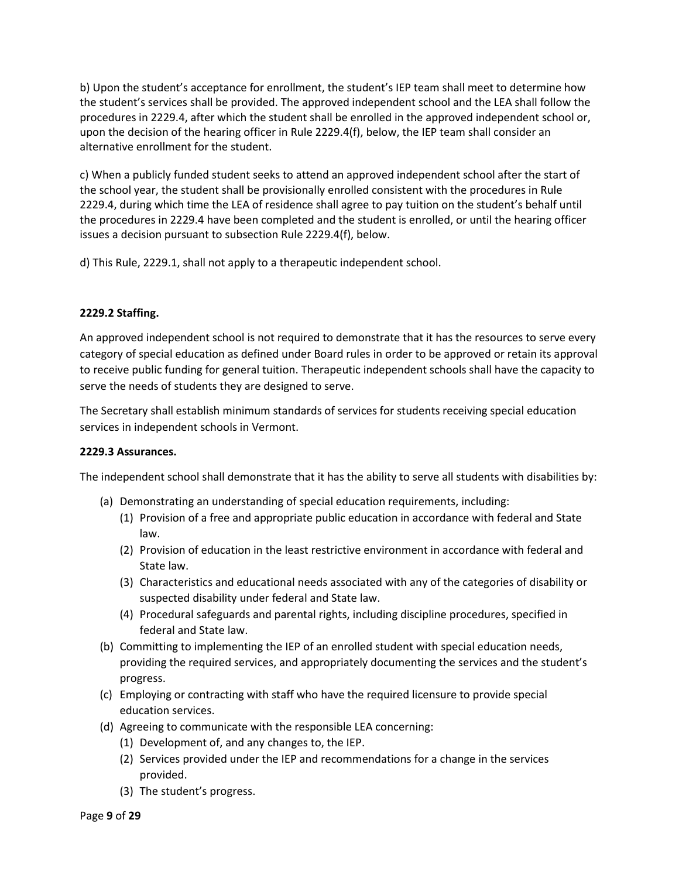b) Upon the student's acceptance for enrollment, the student's IEP team shall meet to determine how the student's services shall be provided. The approved independent school and the LEA shall follow the procedures in 2229.4, after which the student shall be enrolled in the approved independent school or, upon the decision of the hearing officer in Rule 2229.4(f), below, the IEP team shall consider an alternative enrollment for the student.

c) When a publicly funded student seeks to attend an approved independent school after the start of the school year, the student shall be provisionally enrolled consistent with the procedures in Rule 2229.4, during which time the LEA of residence shall agree to pay tuition on the student's behalf until the procedures in 2229.4 have been completed and the student is enrolled, or until the hearing officer issues a decision pursuant to subsection Rule 2229.4(f), below.

d) This Rule, 2229.1, shall not apply to a therapeutic independent school.

## **2229.2 Staffing.**

An approved independent school is not required to demonstrate that it has the resources to serve every category of special education as defined under Board rules in order to be approved or retain its approval to receive public funding for general tuition. Therapeutic independent schools shall have the capacity to serve the needs of students they are designed to serve.

The Secretary shall establish minimum standards of services for students receiving special education services in independent schools in Vermont.

### **2229.3 Assurances.**

The independent school shall demonstrate that it has the ability to serve all students with disabilities by:

- (a) Demonstrating an understanding of special education requirements, including:
	- (1) Provision of a free and appropriate public education in accordance with federal and State law.
	- (2) Provision of education in the least restrictive environment in accordance with federal and State law.
	- (3) Characteristics and educational needs associated with any of the categories of disability or suspected disability under federal and State law.
	- (4) Procedural safeguards and parental rights, including discipline procedures, specified in federal and State law.
- (b) Committing to implementing the IEP of an enrolled student with special education needs, providing the required services, and appropriately documenting the services and the student's progress.
- (c) Employing or contracting with staff who have the required licensure to provide special education services.
- (d) Agreeing to communicate with the responsible LEA concerning:
	- (1) Development of, and any changes to, the IEP.
	- (2) Services provided under the IEP and recommendations for a change in the services provided.
	- (3) The student's progress.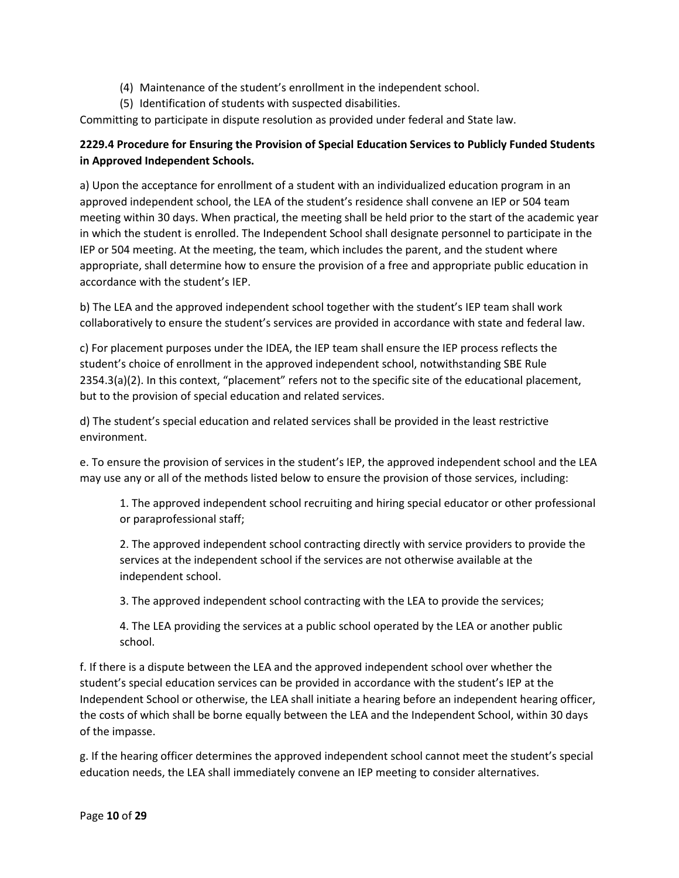- (4) Maintenance of the student's enrollment in the independent school.
- (5) Identification of students with suspected disabilities.

Committing to participate in dispute resolution as provided under federal and State law.

## **2229.4 Procedure for Ensuring the Provision of Special Education Services to Publicly Funded Students in Approved Independent Schools.**

a) Upon the acceptance for enrollment of a student with an individualized education program in an approved independent school, the LEA of the student's residence shall convene an IEP or 504 team meeting within 30 days. When practical, the meeting shall be held prior to the start of the academic year in which the student is enrolled. The Independent School shall designate personnel to participate in the IEP or 504 meeting. At the meeting, the team, which includes the parent, and the student where appropriate, shall determine how to ensure the provision of a free and appropriate public education in accordance with the student's IEP.

b) The LEA and the approved independent school together with the student's IEP team shall work collaboratively to ensure the student's services are provided in accordance with state and federal law.

c) For placement purposes under the IDEA, the IEP team shall ensure the IEP process reflects the student's choice of enrollment in the approved independent school, notwithstanding SBE Rule 2354.3(a)(2). In this context, "placement" refers not to the specific site of the educational placement, but to the provision of special education and related services.

d) The student's special education and related services shall be provided in the least restrictive environment.

e. To ensure the provision of services in the student's IEP, the approved independent school and the LEA may use any or all of the methods listed below to ensure the provision of those services, including:

1. The approved independent school recruiting and hiring special educator or other professional or paraprofessional staff;

2. The approved independent school contracting directly with service providers to provide the services at the independent school if the services are not otherwise available at the independent school.

3. The approved independent school contracting with the LEA to provide the services;

4. The LEA providing the services at a public school operated by the LEA or another public school.

f. If there is a dispute between the LEA and the approved independent school over whether the student's special education services can be provided in accordance with the student's IEP at the Independent School or otherwise, the LEA shall initiate a hearing before an independent hearing officer, the costs of which shall be borne equally between the LEA and the Independent School, within 30 days of the impasse.

g. If the hearing officer determines the approved independent school cannot meet the student's special education needs, the LEA shall immediately convene an IEP meeting to consider alternatives.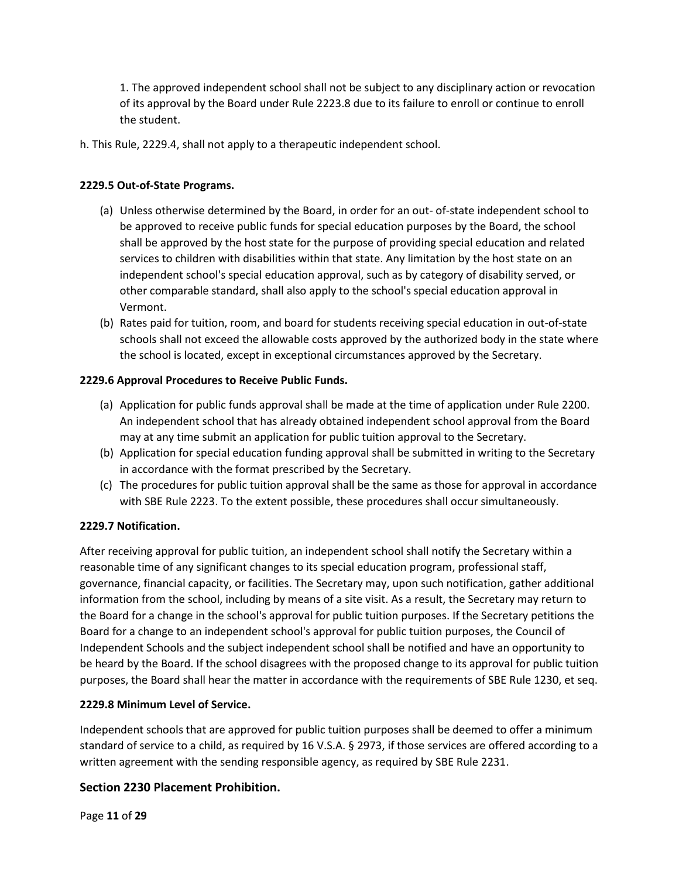1. The approved independent school shall not be subject to any disciplinary action or revocation of its approval by the Board under Rule 2223.8 due to its failure to enroll or continue to enroll the student.

h. This Rule, 2229.4, shall not apply to a therapeutic independent school.

## **2229.5 Out-of-State Programs.**

- (a) Unless otherwise determined by the Board, in order for an out- of-state independent school to be approved to receive public funds for special education purposes by the Board, the school shall be approved by the host state for the purpose of providing special education and related services to children with disabilities within that state. Any limitation by the host state on an independent school's special education approval, such as by category of disability served, or other comparable standard, shall also apply to the school's special education approval in Vermont.
- (b) Rates paid for tuition, room, and board for students receiving special education in out-of-state schools shall not exceed the allowable costs approved by the authorized body in the state where the school is located, except in exceptional circumstances approved by the Secretary.

## **2229.6 Approval Procedures to Receive Public Funds.**

- (a) Application for public funds approval shall be made at the time of application under Rule 2200. An independent school that has already obtained independent school approval from the Board may at any time submit an application for public tuition approval to the Secretary.
- (b) Application for special education funding approval shall be submitted in writing to the Secretary in accordance with the format prescribed by the Secretary.
- (c) The procedures for public tuition approval shall be the same as those for approval in accordance with SBE Rule 2223. To the extent possible, these procedures shall occur simultaneously.

### **2229.7 Notification.**

After receiving approval for public tuition, an independent school shall notify the Secretary within a reasonable time of any significant changes to its special education program, professional staff, governance, financial capacity, or facilities. The Secretary may, upon such notification, gather additional information from the school, including by means of a site visit. As a result, the Secretary may return to the Board for a change in the school's approval for public tuition purposes. If the Secretary petitions the Board for a change to an independent school's approval for public tuition purposes, the Council of Independent Schools and the subject independent school shall be notified and have an opportunity to be heard by the Board. If the school disagrees with the proposed change to its approval for public tuition purposes, the Board shall hear the matter in accordance with the requirements of SBE Rule 1230, et seq.

### **2229.8 Minimum Level of Service.**

Independent schools that are approved for public tuition purposes shall be deemed to offer a minimum standard of service to a child, as required by 16 V.S.A. § 2973, if those services are offered according to a written agreement with the sending responsible agency, as required by SBE Rule 2231.

## **Section 2230 Placement Prohibition.**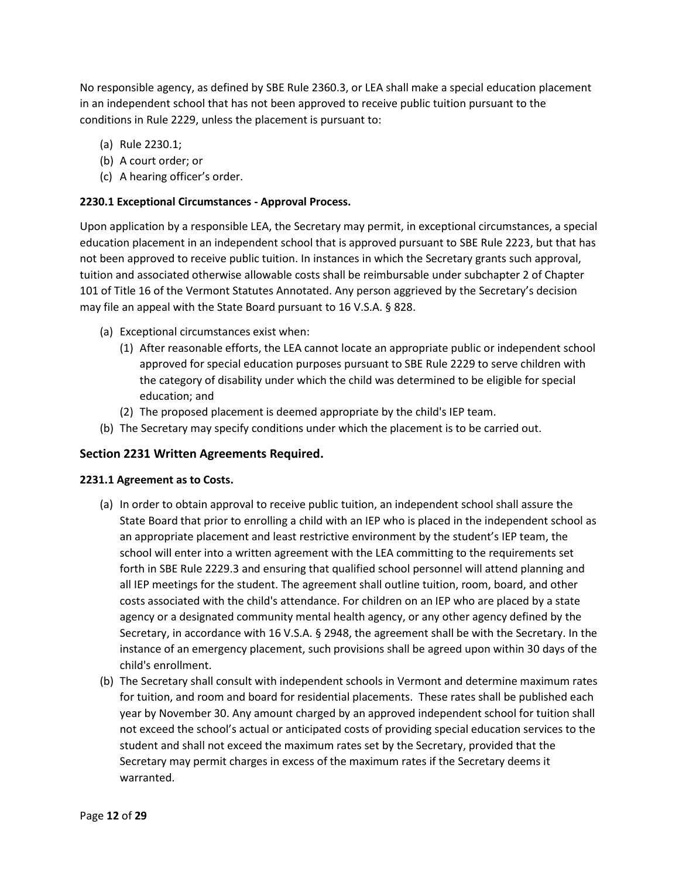No responsible agency, as defined by SBE Rule 2360.3, or LEA shall make a special education placement in an independent school that has not been approved to receive public tuition pursuant to the conditions in Rule 2229, unless the placement is pursuant to:

- (a) Rule 2230.1;
- (b) A court order; or
- (c) A hearing officer's order.

## **2230.1 Exceptional Circumstances - Approval Process.**

Upon application by a responsible LEA, the Secretary may permit, in exceptional circumstances, a special education placement in an independent school that is approved pursuant to SBE Rule 2223, but that has not been approved to receive public tuition. In instances in which the Secretary grants such approval, tuition and associated otherwise allowable costs shall be reimbursable under subchapter 2 of Chapter 101 of Title 16 of the Vermont Statutes Annotated. Any person aggrieved by the Secretary's decision may file an appeal with the State Board pursuant to 16 V.S.A. § 828.

- (a) Exceptional circumstances exist when:
	- (1) After reasonable efforts, the LEA cannot locate an appropriate public or independent school approved for special education purposes pursuant to SBE Rule 2229 to serve children with the category of disability under which the child was determined to be eligible for special education; and
	- (2) The proposed placement is deemed appropriate by the child's IEP team.
- (b) The Secretary may specify conditions under which the placement is to be carried out.

## **Section 2231 Written Agreements Required.**

### **2231.1 Agreement as to Costs.**

- (a) In order to obtain approval to receive public tuition, an independent school shall assure the State Board that prior to enrolling a child with an IEP who is placed in the independent school as an appropriate placement and least restrictive environment by the student's IEP team, the school will enter into a written agreement with the LEA committing to the requirements set forth in SBE Rule 2229.3 and ensuring that qualified school personnel will attend planning and all IEP meetings for the student. The agreement shall outline tuition, room, board, and other costs associated with the child's attendance. For children on an IEP who are placed by a state agency or a designated community mental health agency, or any other agency defined by the Secretary, in accordance with 16 V.S.A. § 2948, the agreement shall be with the Secretary. In the instance of an emergency placement, such provisions shall be agreed upon within 30 days of the child's enrollment.
- (b) The Secretary shall consult with independent schools in Vermont and determine maximum rates for tuition, and room and board for residential placements. These rates shall be published each year by November 30. Any amount charged by an approved independent school for tuition shall not exceed the school's actual or anticipated costs of providing special education services to the student and shall not exceed the maximum rates set by the Secretary, provided that the Secretary may permit charges in excess of the maximum rates if the Secretary deems it warranted.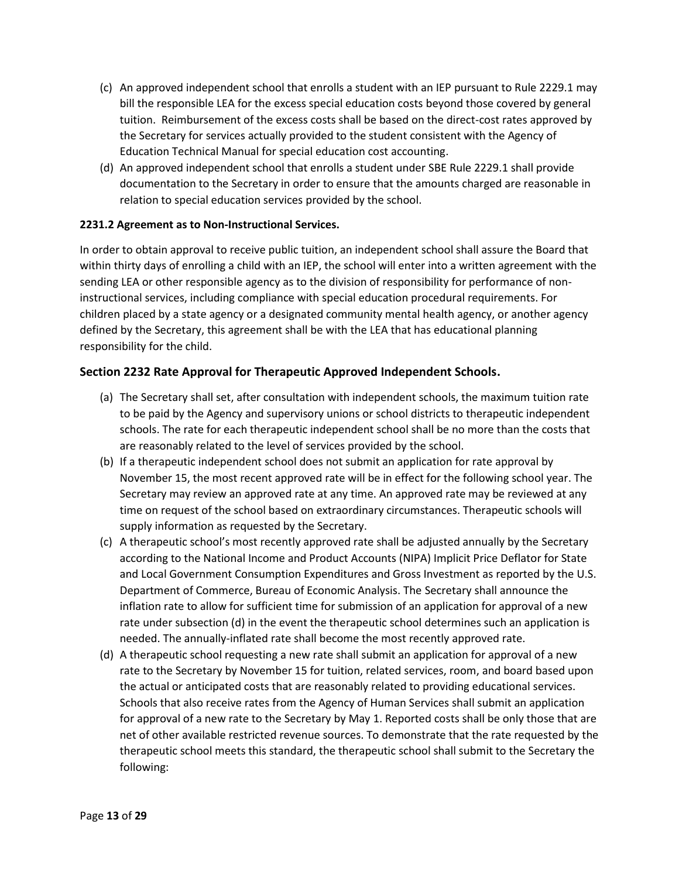- (c) An approved independent school that enrolls a student with an IEP pursuant to Rule 2229.1 may bill the responsible LEA for the excess special education costs beyond those covered by general tuition. Reimbursement of the excess costs shall be based on the direct-cost rates approved by the Secretary for services actually provided to the student consistent with the Agency of Education Technical Manual for special education cost accounting.
- (d) An approved independent school that enrolls a student under SBE Rule 2229.1 shall provide documentation to the Secretary in order to ensure that the amounts charged are reasonable in relation to special education services provided by the school.

### **2231.2 Agreement as to Non-Instructional Services.**

In order to obtain approval to receive public tuition, an independent school shall assure the Board that within thirty days of enrolling a child with an IEP, the school will enter into a written agreement with the sending LEA or other responsible agency as to the division of responsibility for performance of noninstructional services, including compliance with special education procedural requirements. For children placed by a state agency or a designated community mental health agency, or another agency defined by the Secretary, this agreement shall be with the LEA that has educational planning responsibility for the child.

## **Section 2232 Rate Approval for Therapeutic Approved Independent Schools.**

- (a) The Secretary shall set, after consultation with independent schools, the maximum tuition rate to be paid by the Agency and supervisory unions or school districts to therapeutic independent schools. The rate for each therapeutic independent school shall be no more than the costs that are reasonably related to the level of services provided by the school.
- (b) If a therapeutic independent school does not submit an application for rate approval by November 15, the most recent approved rate will be in effect for the following school year. The Secretary may review an approved rate at any time. An approved rate may be reviewed at any time on request of the school based on extraordinary circumstances. Therapeutic schools will supply information as requested by the Secretary.
- (c) A therapeutic school's most recently approved rate shall be adjusted annually by the Secretary according to the National Income and Product Accounts (NIPA) Implicit Price Deflator for State and Local Government Consumption Expenditures and Gross Investment as reported by the U.S. Department of Commerce, Bureau of Economic Analysis. The Secretary shall announce the inflation rate to allow for sufficient time for submission of an application for approval of a new rate under subsection (d) in the event the therapeutic school determines such an application is needed. The annually-inflated rate shall become the most recently approved rate.
- (d) A therapeutic school requesting a new rate shall submit an application for approval of a new rate to the Secretary by November 15 for tuition, related services, room, and board based upon the actual or anticipated costs that are reasonably related to providing educational services. Schools that also receive rates from the Agency of Human Services shall submit an application for approval of a new rate to the Secretary by May 1. Reported costs shall be only those that are net of other available restricted revenue sources. To demonstrate that the rate requested by the therapeutic school meets this standard, the therapeutic school shall submit to the Secretary the following: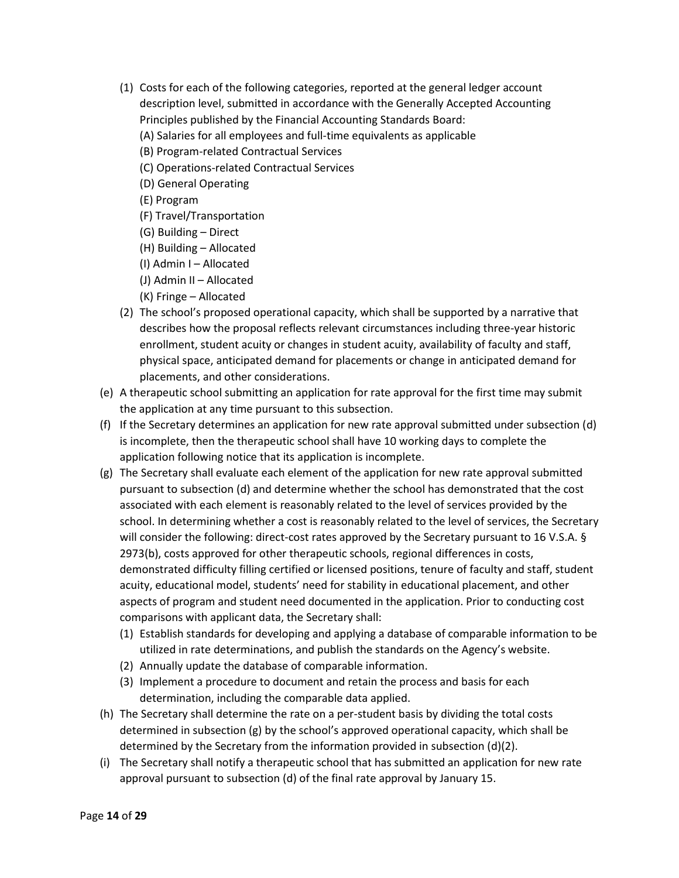- (1) Costs for each of the following categories, reported at the general ledger account description level, submitted in accordance with the Generally Accepted Accounting Principles published by the Financial Accounting Standards Board:
	- (A) Salaries for all employees and full-time equivalents as applicable
	- (B) Program-related Contractual Services
	- (C) Operations-related Contractual Services
	- (D) General Operating
	- (E) Program
	- (F) Travel/Transportation
	- (G) Building Direct
	- (H) Building Allocated
	- (I) Admin I Allocated
	- (J) Admin II Allocated
	- (K) Fringe Allocated
- (2) The school's proposed operational capacity, which shall be supported by a narrative that describes how the proposal reflects relevant circumstances including three-year historic enrollment, student acuity or changes in student acuity, availability of faculty and staff, physical space, anticipated demand for placements or change in anticipated demand for placements, and other considerations.
- (e) A therapeutic school submitting an application for rate approval for the first time may submit the application at any time pursuant to this subsection.
- (f) If the Secretary determines an application for new rate approval submitted under subsection (d) is incomplete, then the therapeutic school shall have 10 working days to complete the application following notice that its application is incomplete.
- (g) The Secretary shall evaluate each element of the application for new rate approval submitted pursuant to subsection (d) and determine whether the school has demonstrated that the cost associated with each element is reasonably related to the level of services provided by the school. In determining whether a cost is reasonably related to the level of services, the Secretary will consider the following: direct-cost rates approved by the Secretary pursuant to 16 V.S.A. § 2973(b), costs approved for other therapeutic schools, regional differences in costs, demonstrated difficulty filling certified or licensed positions, tenure of faculty and staff, student acuity, educational model, students' need for stability in educational placement, and other aspects of program and student need documented in the application. Prior to conducting cost comparisons with applicant data, the Secretary shall:
	- (1) Establish standards for developing and applying a database of comparable information to be utilized in rate determinations, and publish the standards on the Agency's website.
	- (2) Annually update the database of comparable information.
	- (3) Implement a procedure to document and retain the process and basis for each determination, including the comparable data applied.
- (h) The Secretary shall determine the rate on a per-student basis by dividing the total costs determined in subsection (g) by the school's approved operational capacity, which shall be determined by the Secretary from the information provided in subsection (d)(2).
- (i) The Secretary shall notify a therapeutic school that has submitted an application for new rate approval pursuant to subsection (d) of the final rate approval by January 15.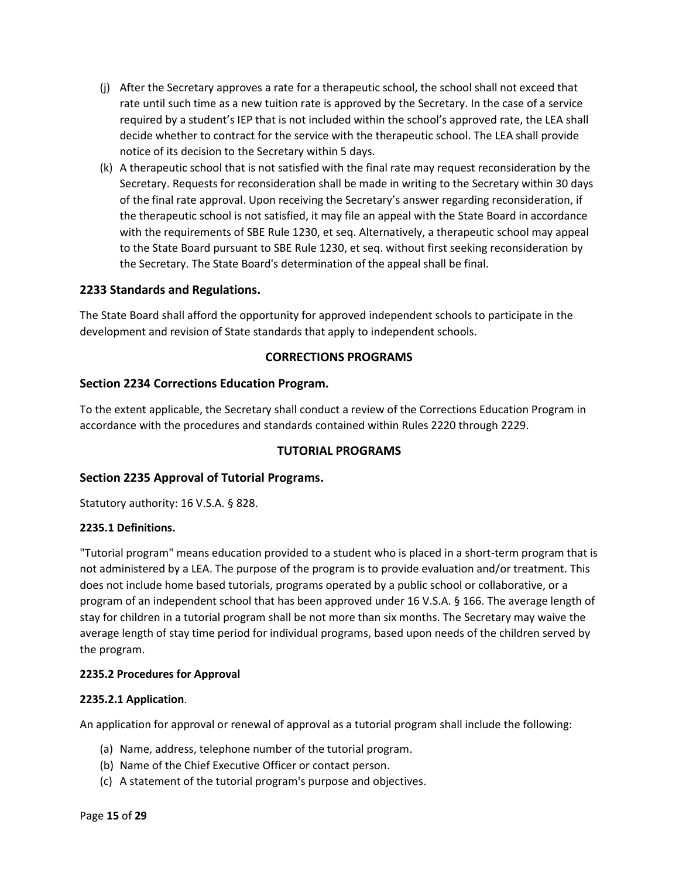- (j) After the Secretary approves a rate for a therapeutic school, the school shall not exceed that rate until such time as a new tuition rate is approved by the Secretary. In the case of a service required by a student's IEP that is not included within the school's approved rate, the LEA shall decide whether to contract for the service with the therapeutic school. The LEA shall provide notice of its decision to the Secretary within 5 days.
- (k) A therapeutic school that is not satisfied with the final rate may request reconsideration by the Secretary. Requests for reconsideration shall be made in writing to the Secretary within 30 days of the final rate approval. Upon receiving the Secretary's answer regarding reconsideration, if the therapeutic school is not satisfied, it may file an appeal with the State Board in accordance with the requirements of SBE Rule 1230, et seq. Alternatively, a therapeutic school may appeal to the State Board pursuant to SBE Rule 1230, et seq. without first seeking reconsideration by the Secretary. The State Board's determination of the appeal shall be final.

## **2233 Standards and Regulations.**

The State Board shall afford the opportunity for approved independent schools to participate in the development and revision of State standards that apply to independent schools.

## **CORRECTIONS PROGRAMS**

## **Section 2234 Corrections Education Program.**

To the extent applicable, the Secretary shall conduct a review of the Corrections Education Program in accordance with the procedures and standards contained within Rules 2220 through 2229.

### **TUTORIAL PROGRAMS**

### **Section 2235 Approval of Tutorial Programs.**

Statutory authority: 16 V.S.A. § 828.

### **2235.1 Definitions.**

"Tutorial program" means education provided to a student who is placed in a short-term program that is not administered by a LEA. The purpose of the program is to provide evaluation and/or treatment. This does not include home based tutorials, programs operated by a public school or collaborative, or a program of an independent school that has been approved under 16 V.S.A. § 166. The average length of stay for children in a tutorial program shall be not more than six months. The Secretary may waive the average length of stay time period for individual programs, based upon needs of the children served by the program.

### **2235.2 Procedures for Approval**

### **2235.2.1 Application**.

An application for approval or renewal of approval as a tutorial program shall include the following:

- (a) Name, address, telephone number of the tutorial program.
- (b) Name of the Chief Executive Officer or contact person.
- (c) A statement of the tutorial program's purpose and objectives.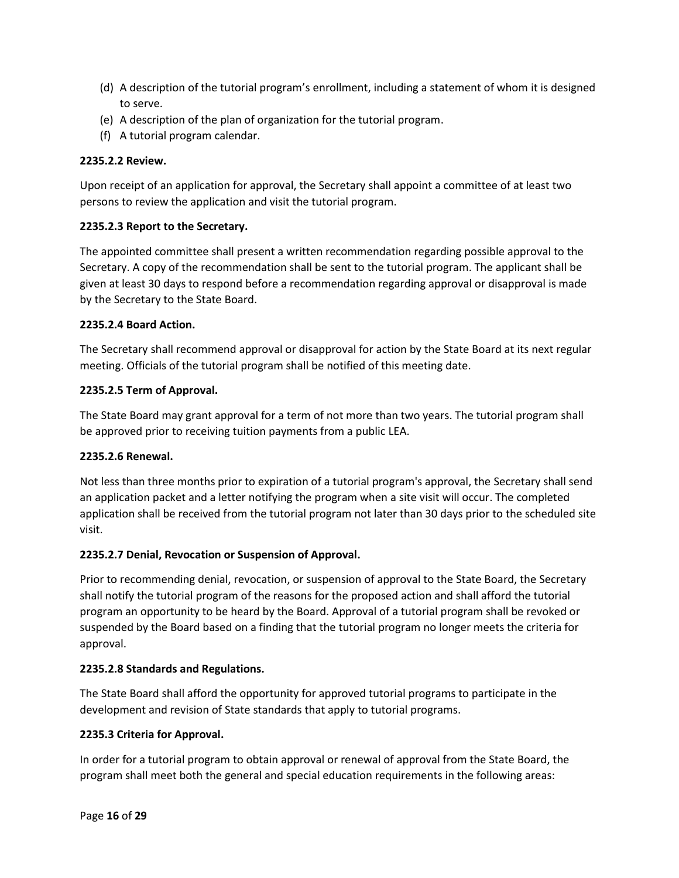- (d) A description of the tutorial program's enrollment, including a statement of whom it is designed to serve.
- (e) A description of the plan of organization for the tutorial program.
- (f) A tutorial program calendar.

## **2235.2.2 Review.**

Upon receipt of an application for approval, the Secretary shall appoint a committee of at least two persons to review the application and visit the tutorial program.

### **2235.2.3 Report to the Secretary.**

The appointed committee shall present a written recommendation regarding possible approval to the Secretary. A copy of the recommendation shall be sent to the tutorial program. The applicant shall be given at least 30 days to respond before a recommendation regarding approval or disapproval is made by the Secretary to the State Board.

### **2235.2.4 Board Action.**

The Secretary shall recommend approval or disapproval for action by the State Board at its next regular meeting. Officials of the tutorial program shall be notified of this meeting date.

## **2235.2.5 Term of Approval.**

The State Board may grant approval for a term of not more than two years. The tutorial program shall be approved prior to receiving tuition payments from a public LEA.

### **2235.2.6 Renewal.**

Not less than three months prior to expiration of a tutorial program's approval, the Secretary shall send an application packet and a letter notifying the program when a site visit will occur. The completed application shall be received from the tutorial program not later than 30 days prior to the scheduled site visit.

## **2235.2.7 Denial, Revocation or Suspension of Approval.**

Prior to recommending denial, revocation, or suspension of approval to the State Board, the Secretary shall notify the tutorial program of the reasons for the proposed action and shall afford the tutorial program an opportunity to be heard by the Board. Approval of a tutorial program shall be revoked or suspended by the Board based on a finding that the tutorial program no longer meets the criteria for approval.

### **2235.2.8 Standards and Regulations.**

The State Board shall afford the opportunity for approved tutorial programs to participate in the development and revision of State standards that apply to tutorial programs.

### **2235.3 Criteria for Approval.**

In order for a tutorial program to obtain approval or renewal of approval from the State Board, the program shall meet both the general and special education requirements in the following areas: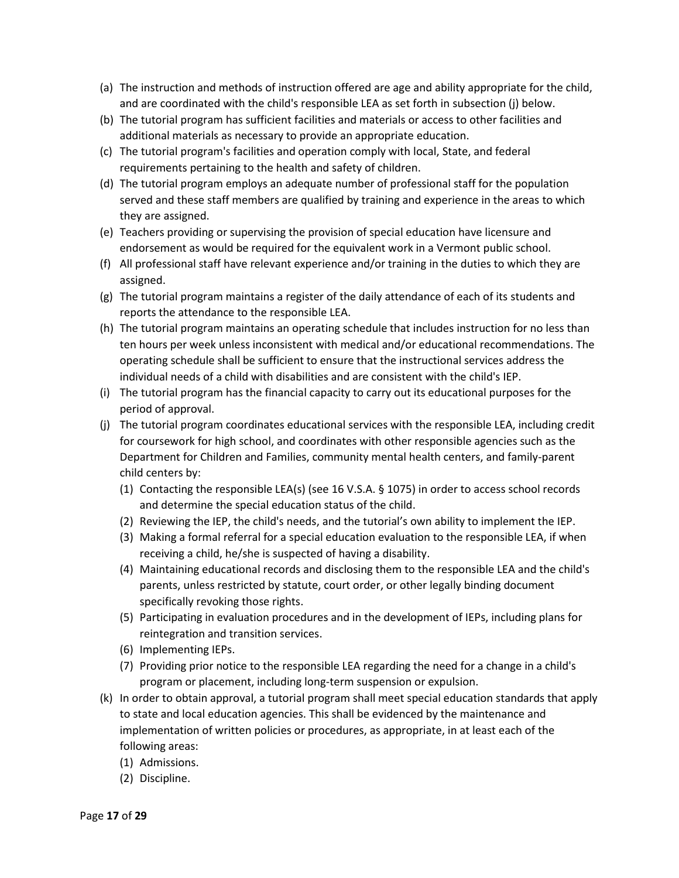- (a) The instruction and methods of instruction offered are age and ability appropriate for the child, and are coordinated with the child's responsible LEA as set forth in subsection (j) below.
- (b) The tutorial program has sufficient facilities and materials or access to other facilities and additional materials as necessary to provide an appropriate education.
- (c) The tutorial program's facilities and operation comply with local, State, and federal requirements pertaining to the health and safety of children.
- (d) The tutorial program employs an adequate number of professional staff for the population served and these staff members are qualified by training and experience in the areas to which they are assigned.
- (e) Teachers providing or supervising the provision of special education have licensure and endorsement as would be required for the equivalent work in a Vermont public school.
- (f) All professional staff have relevant experience and/or training in the duties to which they are assigned.
- (g) The tutorial program maintains a register of the daily attendance of each of its students and reports the attendance to the responsible LEA.
- (h) The tutorial program maintains an operating schedule that includes instruction for no less than ten hours per week unless inconsistent with medical and/or educational recommendations. The operating schedule shall be sufficient to ensure that the instructional services address the individual needs of a child with disabilities and are consistent with the child's IEP.
- (i) The tutorial program has the financial capacity to carry out its educational purposes for the period of approval.
- (j) The tutorial program coordinates educational services with the responsible LEA, including credit for coursework for high school, and coordinates with other responsible agencies such as the Department for Children and Families, community mental health centers, and family-parent child centers by:
	- (1) Contacting the responsible LEA(s) (see 16 V.S.A. § 1075) in order to access school records and determine the special education status of the child.
	- (2) Reviewing the IEP, the child's needs, and the tutorial's own ability to implement the IEP.
	- (3) Making a formal referral for a special education evaluation to the responsible LEA, if when receiving a child, he/she is suspected of having a disability.
	- (4) Maintaining educational records and disclosing them to the responsible LEA and the child's parents, unless restricted by statute, court order, or other legally binding document specifically revoking those rights.
	- (5) Participating in evaluation procedures and in the development of IEPs, including plans for reintegration and transition services.
	- (6) Implementing IEPs.
	- (7) Providing prior notice to the responsible LEA regarding the need for a change in a child's program or placement, including long-term suspension or expulsion.
- (k) In order to obtain approval, a tutorial program shall meet special education standards that apply to state and local education agencies. This shall be evidenced by the maintenance and implementation of written policies or procedures, as appropriate, in at least each of the following areas:
	- (1) Admissions.
	- (2) Discipline.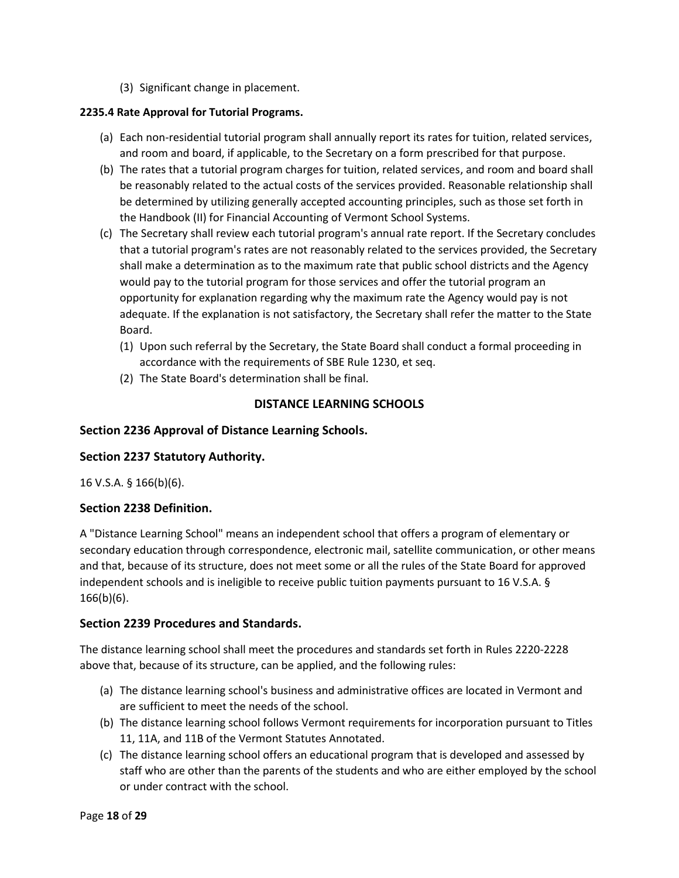(3) Significant change in placement.

## **2235.4 Rate Approval for Tutorial Programs.**

- (a) Each non-residential tutorial program shall annually report its rates for tuition, related services, and room and board, if applicable, to the Secretary on a form prescribed for that purpose.
- (b) The rates that a tutorial program charges for tuition, related services, and room and board shall be reasonably related to the actual costs of the services provided. Reasonable relationship shall be determined by utilizing generally accepted accounting principles, such as those set forth in the Handbook (II) for Financial Accounting of Vermont School Systems.
- (c) The Secretary shall review each tutorial program's annual rate report. If the Secretary concludes that a tutorial program's rates are not reasonably related to the services provided, the Secretary shall make a determination as to the maximum rate that public school districts and the Agency would pay to the tutorial program for those services and offer the tutorial program an opportunity for explanation regarding why the maximum rate the Agency would pay is not adequate. If the explanation is not satisfactory, the Secretary shall refer the matter to the State Board.
	- (1) Upon such referral by the Secretary, the State Board shall conduct a formal proceeding in accordance with the requirements of SBE Rule 1230, et seq.
	- (2) The State Board's determination shall be final.

## **DISTANCE LEARNING SCHOOLS**

## **Section 2236 Approval of Distance Learning Schools.**

### **Section 2237 Statutory Authority.**

16 V.S.A. § 166(b)(6).

### **Section 2238 Definition.**

A "Distance Learning School" means an independent school that offers a program of elementary or secondary education through correspondence, electronic mail, satellite communication, or other means and that, because of its structure, does not meet some or all the rules of the State Board for approved independent schools and is ineligible to receive public tuition payments pursuant to 16 V.S.A. § 166(b)(6).

### **Section 2239 Procedures and Standards.**

The distance learning school shall meet the procedures and standards set forth in Rules 2220-2228 above that, because of its structure, can be applied, and the following rules:

- (a) The distance learning school's business and administrative offices are located in Vermont and are sufficient to meet the needs of the school.
- (b) The distance learning school follows Vermont requirements for incorporation pursuant to Titles 11, 11A, and 11B of the Vermont Statutes Annotated.
- (c) The distance learning school offers an educational program that is developed and assessed by staff who are other than the parents of the students and who are either employed by the school or under contract with the school.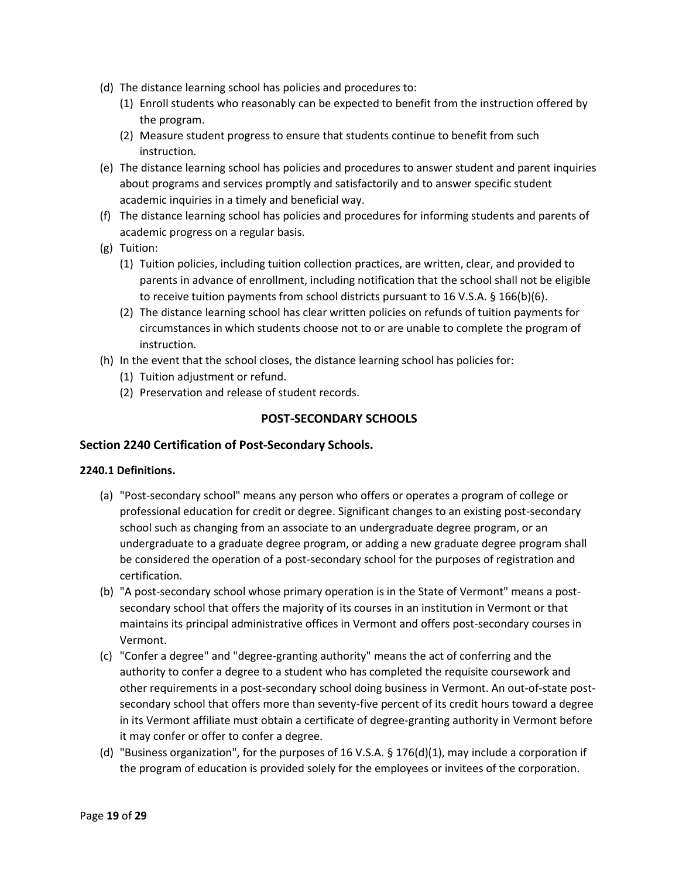- (d) The distance learning school has policies and procedures to:
	- (1) Enroll students who reasonably can be expected to benefit from the instruction offered by the program.
	- (2) Measure student progress to ensure that students continue to benefit from such instruction.
- (e) The distance learning school has policies and procedures to answer student and parent inquiries about programs and services promptly and satisfactorily and to answer specific student academic inquiries in a timely and beneficial way.
- (f) The distance learning school has policies and procedures for informing students and parents of academic progress on a regular basis.
- (g) Tuition:
	- (1) Tuition policies, including tuition collection practices, are written, clear, and provided to parents in advance of enrollment, including notification that the school shall not be eligible to receive tuition payments from school districts pursuant to 16 V.S.A. § 166(b)(6).
	- (2) The distance learning school has clear written policies on refunds of tuition payments for circumstances in which students choose not to or are unable to complete the program of instruction.
- (h) In the event that the school closes, the distance learning school has policies for:
	- (1) Tuition adjustment or refund.
	- (2) Preservation and release of student records.

## **POST-SECONDARY SCHOOLS**

### **Section 2240 Certification of Post-Secondary Schools.**

### **2240.1 Definitions.**

- (a) "Post-secondary school" means any person who offers or operates a program of college or professional education for credit or degree. Significant changes to an existing post-secondary school such as changing from an associate to an undergraduate degree program, or an undergraduate to a graduate degree program, or adding a new graduate degree program shall be considered the operation of a post-secondary school for the purposes of registration and certification.
- (b) "A post-secondary school whose primary operation is in the State of Vermont" means a postsecondary school that offers the majority of its courses in an institution in Vermont or that maintains its principal administrative offices in Vermont and offers post-secondary courses in Vermont.
- (c) "Confer a degree" and "degree-granting authority" means the act of conferring and the authority to confer a degree to a student who has completed the requisite coursework and other requirements in a post-secondary school doing business in Vermont. An out-of-state postsecondary school that offers more than seventy-five percent of its credit hours toward a degree in its Vermont affiliate must obtain a certificate of degree-granting authority in Vermont before it may confer or offer to confer a degree.
- (d) "Business organization", for the purposes of 16 V.S.A. § 176(d)(1), may include a corporation if the program of education is provided solely for the employees or invitees of the corporation.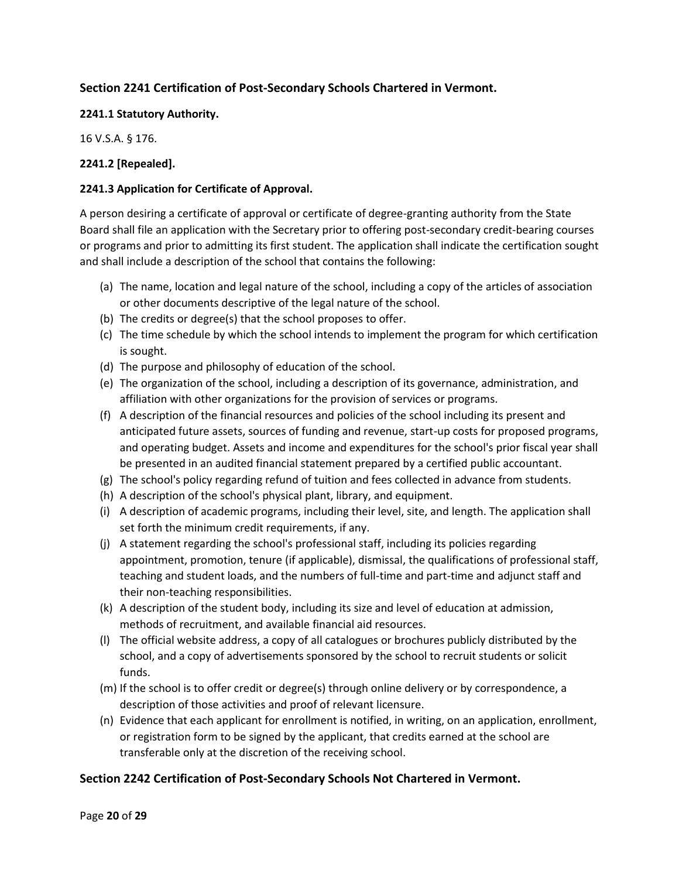## **Section 2241 Certification of Post-Secondary Schools Chartered in Vermont.**

### **2241.1 Statutory Authority.**

16 V.S.A. § 176.

## **2241.2 [Repealed].**

## **2241.3 Application for Certificate of Approval.**

A person desiring a certificate of approval or certificate of degree-granting authority from the State Board shall file an application with the Secretary prior to offering post-secondary credit-bearing courses or programs and prior to admitting its first student. The application shall indicate the certification sought and shall include a description of the school that contains the following:

- (a) The name, location and legal nature of the school, including a copy of the articles of association or other documents descriptive of the legal nature of the school.
- (b) The credits or degree(s) that the school proposes to offer.
- (c) The time schedule by which the school intends to implement the program for which certification is sought.
- (d) The purpose and philosophy of education of the school.
- (e) The organization of the school, including a description of its governance, administration, and affiliation with other organizations for the provision of services or programs.
- (f) A description of the financial resources and policies of the school including its present and anticipated future assets, sources of funding and revenue, start-up costs for proposed programs, and operating budget. Assets and income and expenditures for the school's prior fiscal year shall be presented in an audited financial statement prepared by a certified public accountant.
- (g) The school's policy regarding refund of tuition and fees collected in advance from students.
- (h) A description of the school's physical plant, library, and equipment.
- (i) A description of academic programs, including their level, site, and length. The application shall set forth the minimum credit requirements, if any.
- (j) A statement regarding the school's professional staff, including its policies regarding appointment, promotion, tenure (if applicable), dismissal, the qualifications of professional staff, teaching and student loads, and the numbers of full-time and part-time and adjunct staff and their non-teaching responsibilities.
- (k) A description of the student body, including its size and level of education at admission, methods of recruitment, and available financial aid resources.
- (l) The official website address, a copy of all catalogues or brochures publicly distributed by the school, and a copy of advertisements sponsored by the school to recruit students or solicit funds.
- (m) If the school is to offer credit or degree(s) through online delivery or by correspondence, a description of those activities and proof of relevant licensure.
- (n) Evidence that each applicant for enrollment is notified, in writing, on an application, enrollment, or registration form to be signed by the applicant, that credits earned at the school are transferable only at the discretion of the receiving school.

## **Section 2242 Certification of Post-Secondary Schools Not Chartered in Vermont.**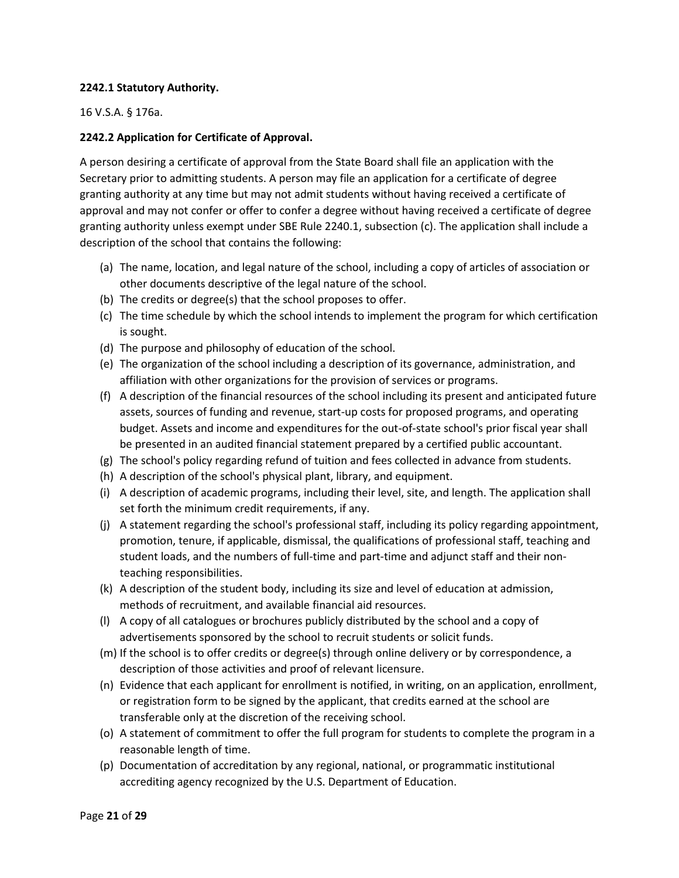### **2242.1 Statutory Authority.**

### 16 V.S.A. § 176a.

## **2242.2 Application for Certificate of Approval.**

A person desiring a certificate of approval from the State Board shall file an application with the Secretary prior to admitting students. A person may file an application for a certificate of degree granting authority at any time but may not admit students without having received a certificate of approval and may not confer or offer to confer a degree without having received a certificate of degree granting authority unless exempt under SBE Rule 2240.1, subsection (c). The application shall include a description of the school that contains the following:

- (a) The name, location, and legal nature of the school, including a copy of articles of association or other documents descriptive of the legal nature of the school.
- (b) The credits or degree(s) that the school proposes to offer.
- (c) The time schedule by which the school intends to implement the program for which certification is sought.
- (d) The purpose and philosophy of education of the school.
- (e) The organization of the school including a description of its governance, administration, and affiliation with other organizations for the provision of services or programs.
- (f) A description of the financial resources of the school including its present and anticipated future assets, sources of funding and revenue, start-up costs for proposed programs, and operating budget. Assets and income and expenditures for the out-of-state school's prior fiscal year shall be presented in an audited financial statement prepared by a certified public accountant.
- (g) The school's policy regarding refund of tuition and fees collected in advance from students.
- (h) A description of the school's physical plant, library, and equipment.
- (i) A description of academic programs, including their level, site, and length. The application shall set forth the minimum credit requirements, if any.
- (j) A statement regarding the school's professional staff, including its policy regarding appointment, promotion, tenure, if applicable, dismissal, the qualifications of professional staff, teaching and student loads, and the numbers of full-time and part-time and adjunct staff and their nonteaching responsibilities.
- (k) A description of the student body, including its size and level of education at admission, methods of recruitment, and available financial aid resources.
- (l) A copy of all catalogues or brochures publicly distributed by the school and a copy of advertisements sponsored by the school to recruit students or solicit funds.
- (m) If the school is to offer credits or degree(s) through online delivery or by correspondence, a description of those activities and proof of relevant licensure.
- (n) Evidence that each applicant for enrollment is notified, in writing, on an application, enrollment, or registration form to be signed by the applicant, that credits earned at the school are transferable only at the discretion of the receiving school.
- (o) A statement of commitment to offer the full program for students to complete the program in a reasonable length of time.
- (p) Documentation of accreditation by any regional, national, or programmatic institutional accrediting agency recognized by the U.S. Department of Education.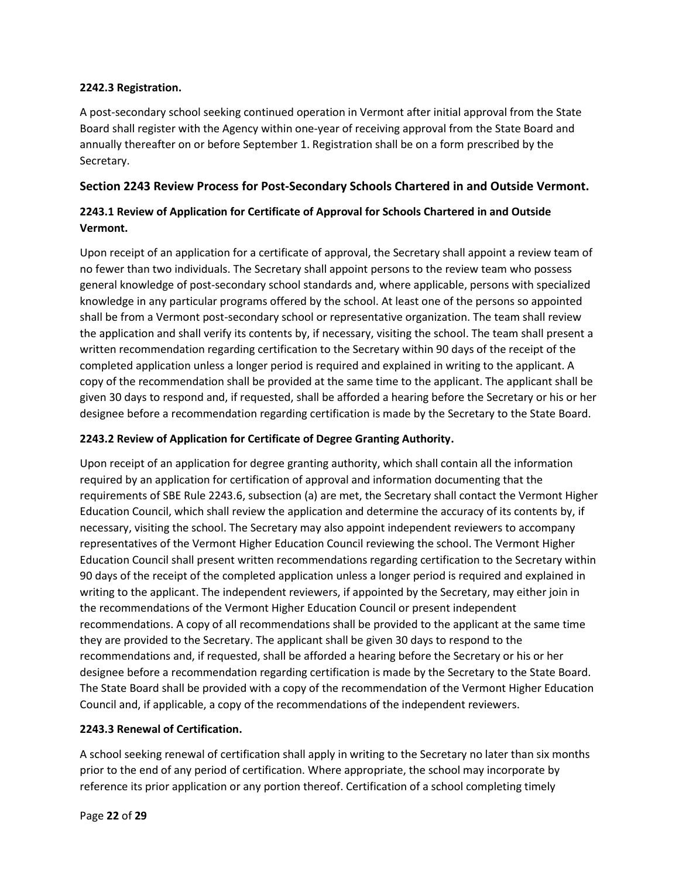### **2242.3 Registration.**

A post-secondary school seeking continued operation in Vermont after initial approval from the State Board shall register with the Agency within one-year of receiving approval from the State Board and annually thereafter on or before September 1. Registration shall be on a form prescribed by the Secretary.

## **Section 2243 Review Process for Post-Secondary Schools Chartered in and Outside Vermont.**

## **2243.1 Review of Application for Certificate of Approval for Schools Chartered in and Outside Vermont.**

Upon receipt of an application for a certificate of approval, the Secretary shall appoint a review team of no fewer than two individuals. The Secretary shall appoint persons to the review team who possess general knowledge of post-secondary school standards and, where applicable, persons with specialized knowledge in any particular programs offered by the school. At least one of the persons so appointed shall be from a Vermont post-secondary school or representative organization. The team shall review the application and shall verify its contents by, if necessary, visiting the school. The team shall present a written recommendation regarding certification to the Secretary within 90 days of the receipt of the completed application unless a longer period is required and explained in writing to the applicant. A copy of the recommendation shall be provided at the same time to the applicant. The applicant shall be given 30 days to respond and, if requested, shall be afforded a hearing before the Secretary or his or her designee before a recommendation regarding certification is made by the Secretary to the State Board.

## **2243.2 Review of Application for Certificate of Degree Granting Authority.**

Upon receipt of an application for degree granting authority, which shall contain all the information required by an application for certification of approval and information documenting that the requirements of SBE Rule 2243.6, subsection (a) are met, the Secretary shall contact the Vermont Higher Education Council, which shall review the application and determine the accuracy of its contents by, if necessary, visiting the school. The Secretary may also appoint independent reviewers to accompany representatives of the Vermont Higher Education Council reviewing the school. The Vermont Higher Education Council shall present written recommendations regarding certification to the Secretary within 90 days of the receipt of the completed application unless a longer period is required and explained in writing to the applicant. The independent reviewers, if appointed by the Secretary, may either join in the recommendations of the Vermont Higher Education Council or present independent recommendations. A copy of all recommendations shall be provided to the applicant at the same time they are provided to the Secretary. The applicant shall be given 30 days to respond to the recommendations and, if requested, shall be afforded a hearing before the Secretary or his or her designee before a recommendation regarding certification is made by the Secretary to the State Board. The State Board shall be provided with a copy of the recommendation of the Vermont Higher Education Council and, if applicable, a copy of the recommendations of the independent reviewers.

## **2243.3 Renewal of Certification.**

A school seeking renewal of certification shall apply in writing to the Secretary no later than six months prior to the end of any period of certification. Where appropriate, the school may incorporate by reference its prior application or any portion thereof. Certification of a school completing timely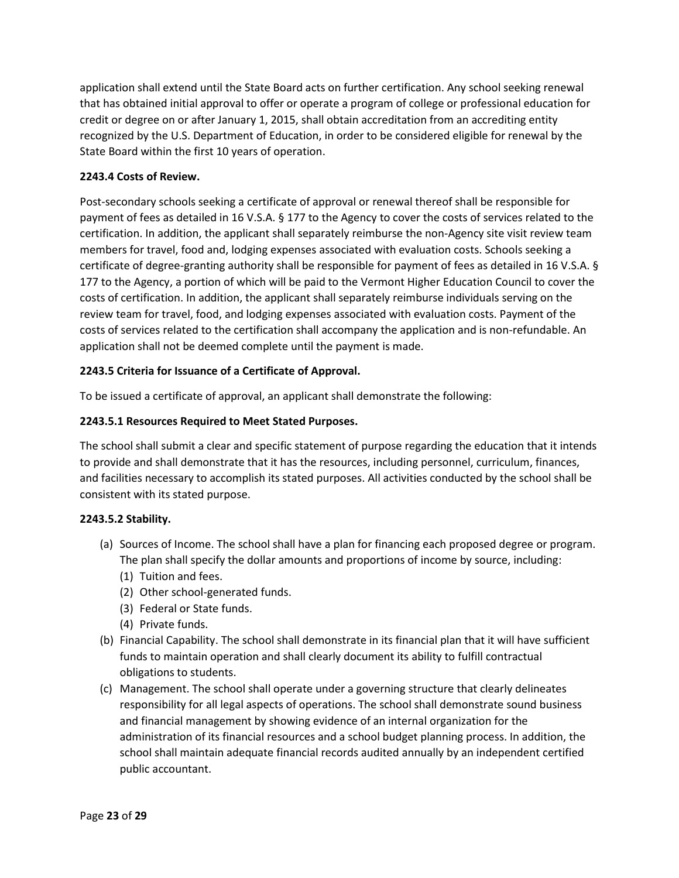application shall extend until the State Board acts on further certification. Any school seeking renewal that has obtained initial approval to offer or operate a program of college or professional education for credit or degree on or after January 1, 2015, shall obtain accreditation from an accrediting entity recognized by the U.S. Department of Education, in order to be considered eligible for renewal by the State Board within the first 10 years of operation.

## **2243.4 Costs of Review.**

Post-secondary schools seeking a certificate of approval or renewal thereof shall be responsible for payment of fees as detailed in 16 V.S.A. § 177 to the Agency to cover the costs of services related to the certification. In addition, the applicant shall separately reimburse the non-Agency site visit review team members for travel, food and, lodging expenses associated with evaluation costs. Schools seeking a certificate of degree-granting authority shall be responsible for payment of fees as detailed in 16 V.S.A. § 177 to the Agency, a portion of which will be paid to the Vermont Higher Education Council to cover the costs of certification. In addition, the applicant shall separately reimburse individuals serving on the review team for travel, food, and lodging expenses associated with evaluation costs. Payment of the costs of services related to the certification shall accompany the application and is non-refundable. An application shall not be deemed complete until the payment is made.

## **2243.5 Criteria for Issuance of a Certificate of Approval.**

To be issued a certificate of approval, an applicant shall demonstrate the following:

## **2243.5.1 Resources Required to Meet Stated Purposes.**

The school shall submit a clear and specific statement of purpose regarding the education that it intends to provide and shall demonstrate that it has the resources, including personnel, curriculum, finances, and facilities necessary to accomplish its stated purposes. All activities conducted by the school shall be consistent with its stated purpose.

### **2243.5.2 Stability.**

- (a) Sources of Income. The school shall have a plan for financing each proposed degree or program. The plan shall specify the dollar amounts and proportions of income by source, including:
	- (1) Tuition and fees.
	- (2) Other school-generated funds.
	- (3) Federal or State funds.
	- (4) Private funds.
- (b) Financial Capability. The school shall demonstrate in its financial plan that it will have sufficient funds to maintain operation and shall clearly document its ability to fulfill contractual obligations to students.
- (c) Management. The school shall operate under a governing structure that clearly delineates responsibility for all legal aspects of operations. The school shall demonstrate sound business and financial management by showing evidence of an internal organization for the administration of its financial resources and a school budget planning process. In addition, the school shall maintain adequate financial records audited annually by an independent certified public accountant.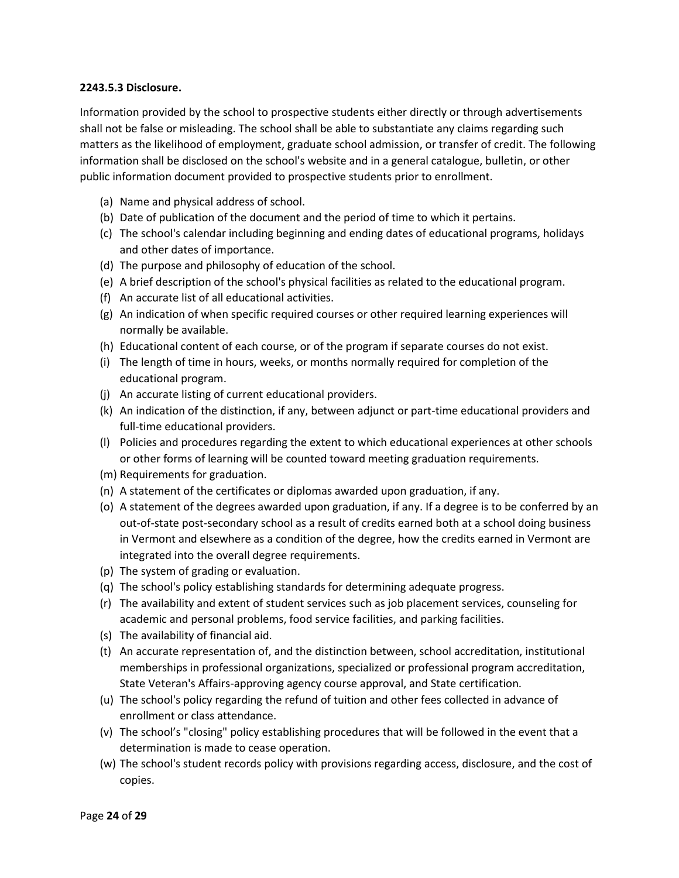### **2243.5.3 Disclosure.**

Information provided by the school to prospective students either directly or through advertisements shall not be false or misleading. The school shall be able to substantiate any claims regarding such matters as the likelihood of employment, graduate school admission, or transfer of credit. The following information shall be disclosed on the school's website and in a general catalogue, bulletin, or other public information document provided to prospective students prior to enrollment.

- (a) Name and physical address of school.
- (b) Date of publication of the document and the period of time to which it pertains.
- (c) The school's calendar including beginning and ending dates of educational programs, holidays and other dates of importance.
- (d) The purpose and philosophy of education of the school.
- (e) A brief description of the school's physical facilities as related to the educational program.
- (f) An accurate list of all educational activities.
- (g) An indication of when specific required courses or other required learning experiences will normally be available.
- (h) Educational content of each course, or of the program if separate courses do not exist.
- (i) The length of time in hours, weeks, or months normally required for completion of the educational program.
- (j) An accurate listing of current educational providers.
- (k) An indication of the distinction, if any, between adjunct or part-time educational providers and full-time educational providers.
- (l) Policies and procedures regarding the extent to which educational experiences at other schools or other forms of learning will be counted toward meeting graduation requirements.
- (m) Requirements for graduation.
- (n) A statement of the certificates or diplomas awarded upon graduation, if any.
- (o) A statement of the degrees awarded upon graduation, if any. If a degree is to be conferred by an out-of-state post-secondary school as a result of credits earned both at a school doing business in Vermont and elsewhere as a condition of the degree, how the credits earned in Vermont are integrated into the overall degree requirements.
- (p) The system of grading or evaluation.
- (q) The school's policy establishing standards for determining adequate progress.
- (r) The availability and extent of student services such as job placement services, counseling for academic and personal problems, food service facilities, and parking facilities.
- (s) The availability of financial aid.
- (t) An accurate representation of, and the distinction between, school accreditation, institutional memberships in professional organizations, specialized or professional program accreditation, State Veteran's Affairs-approving agency course approval, and State certification.
- (u) The school's policy regarding the refund of tuition and other fees collected in advance of enrollment or class attendance.
- (v) The school's "closing" policy establishing procedures that will be followed in the event that a determination is made to cease operation.
- (w) The school's student records policy with provisions regarding access, disclosure, and the cost of copies.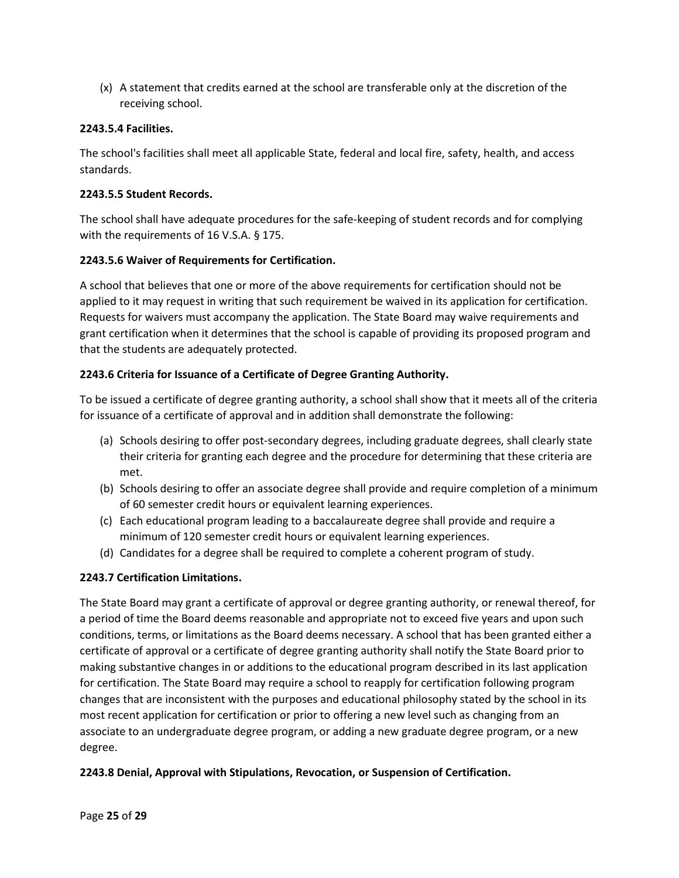(x) A statement that credits earned at the school are transferable only at the discretion of the receiving school.

## **2243.5.4 Facilities.**

The school's facilities shall meet all applicable State, federal and local fire, safety, health, and access standards.

### **2243.5.5 Student Records.**

The school shall have adequate procedures for the safe-keeping of student records and for complying with the requirements of 16 V.S.A. § 175.

## **2243.5.6 Waiver of Requirements for Certification.**

A school that believes that one or more of the above requirements for certification should not be applied to it may request in writing that such requirement be waived in its application for certification. Requests for waivers must accompany the application. The State Board may waive requirements and grant certification when it determines that the school is capable of providing its proposed program and that the students are adequately protected.

## **2243.6 Criteria for Issuance of a Certificate of Degree Granting Authority.**

To be issued a certificate of degree granting authority, a school shall show that it meets all of the criteria for issuance of a certificate of approval and in addition shall demonstrate the following:

- (a) Schools desiring to offer post-secondary degrees, including graduate degrees, shall clearly state their criteria for granting each degree and the procedure for determining that these criteria are met.
- (b) Schools desiring to offer an associate degree shall provide and require completion of a minimum of 60 semester credit hours or equivalent learning experiences.
- (c) Each educational program leading to a baccalaureate degree shall provide and require a minimum of 120 semester credit hours or equivalent learning experiences.
- (d) Candidates for a degree shall be required to complete a coherent program of study.

### **2243.7 Certification Limitations.**

The State Board may grant a certificate of approval or degree granting authority, or renewal thereof, for a period of time the Board deems reasonable and appropriate not to exceed five years and upon such conditions, terms, or limitations as the Board deems necessary. A school that has been granted either a certificate of approval or a certificate of degree granting authority shall notify the State Board prior to making substantive changes in or additions to the educational program described in its last application for certification. The State Board may require a school to reapply for certification following program changes that are inconsistent with the purposes and educational philosophy stated by the school in its most recent application for certification or prior to offering a new level such as changing from an associate to an undergraduate degree program, or adding a new graduate degree program, or a new degree.

### **2243.8 Denial, Approval with Stipulations, Revocation, or Suspension of Certification.**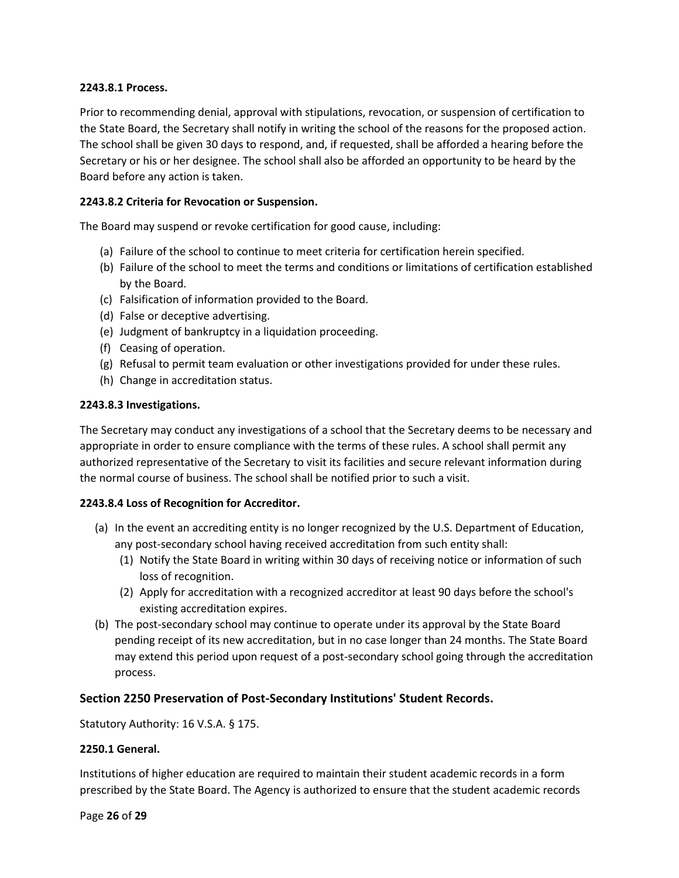### **2243.8.1 Process.**

Prior to recommending denial, approval with stipulations, revocation, or suspension of certification to the State Board, the Secretary shall notify in writing the school of the reasons for the proposed action. The school shall be given 30 days to respond, and, if requested, shall be afforded a hearing before the Secretary or his or her designee. The school shall also be afforded an opportunity to be heard by the Board before any action is taken.

### **2243.8.2 Criteria for Revocation or Suspension.**

The Board may suspend or revoke certification for good cause, including:

- (a) Failure of the school to continue to meet criteria for certification herein specified.
- (b) Failure of the school to meet the terms and conditions or limitations of certification established by the Board.
- (c) Falsification of information provided to the Board.
- (d) False or deceptive advertising.
- (e) Judgment of bankruptcy in a liquidation proceeding.
- (f) Ceasing of operation.
- (g) Refusal to permit team evaluation or other investigations provided for under these rules.
- (h) Change in accreditation status.

### **2243.8.3 Investigations.**

The Secretary may conduct any investigations of a school that the Secretary deems to be necessary and appropriate in order to ensure compliance with the terms of these rules. A school shall permit any authorized representative of the Secretary to visit its facilities and secure relevant information during the normal course of business. The school shall be notified prior to such a visit.

### **2243.8.4 Loss of Recognition for Accreditor.**

- (a) In the event an accrediting entity is no longer recognized by the U.S. Department of Education, any post-secondary school having received accreditation from such entity shall:
	- (1) Notify the State Board in writing within 30 days of receiving notice or information of such loss of recognition.
	- (2) Apply for accreditation with a recognized accreditor at least 90 days before the school's existing accreditation expires.
- (b) The post-secondary school may continue to operate under its approval by the State Board pending receipt of its new accreditation, but in no case longer than 24 months. The State Board may extend this period upon request of a post-secondary school going through the accreditation process.

### **Section 2250 Preservation of Post-Secondary Institutions' Student Records.**

Statutory Authority: 16 V.S.A. § 175.

#### **2250.1 General.**

Institutions of higher education are required to maintain their student academic records in a form prescribed by the State Board. The Agency is authorized to ensure that the student academic records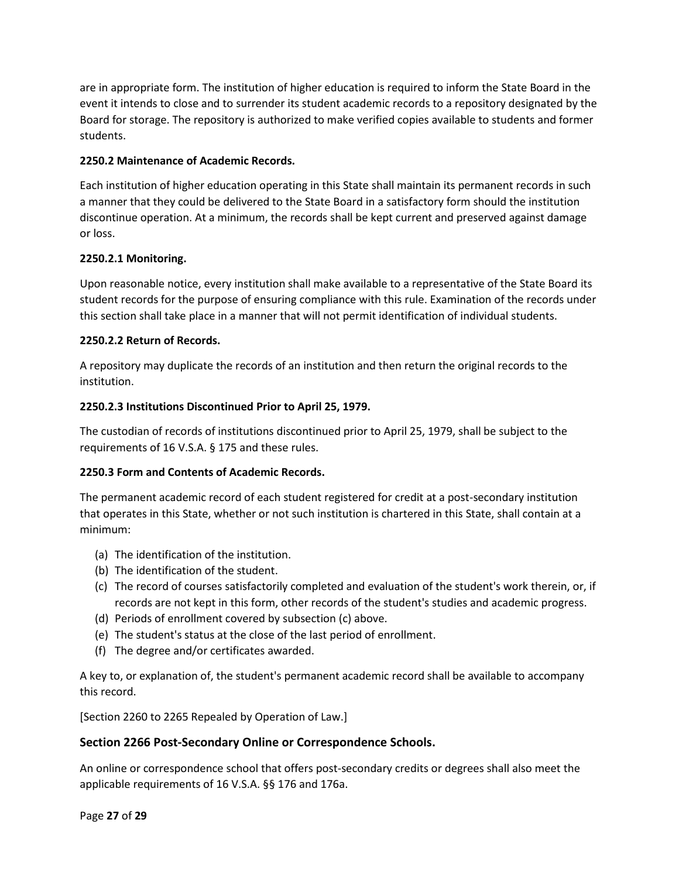are in appropriate form. The institution of higher education is required to inform the State Board in the event it intends to close and to surrender its student academic records to a repository designated by the Board for storage. The repository is authorized to make verified copies available to students and former students.

## **2250.2 Maintenance of Academic Records.**

Each institution of higher education operating in this State shall maintain its permanent records in such a manner that they could be delivered to the State Board in a satisfactory form should the institution discontinue operation. At a minimum, the records shall be kept current and preserved against damage or loss.

## **2250.2.1 Monitoring.**

Upon reasonable notice, every institution shall make available to a representative of the State Board its student records for the purpose of ensuring compliance with this rule. Examination of the records under this section shall take place in a manner that will not permit identification of individual students.

## **2250.2.2 Return of Records.**

A repository may duplicate the records of an institution and then return the original records to the institution.

## **2250.2.3 Institutions Discontinued Prior to April 25, 1979.**

The custodian of records of institutions discontinued prior to April 25, 1979, shall be subject to the requirements of 16 V.S.A. § 175 and these rules.

### **2250.3 Form and Contents of Academic Records.**

The permanent academic record of each student registered for credit at a post-secondary institution that operates in this State, whether or not such institution is chartered in this State, shall contain at a minimum:

- (a) The identification of the institution.
- (b) The identification of the student.
- (c) The record of courses satisfactorily completed and evaluation of the student's work therein, or, if records are not kept in this form, other records of the student's studies and academic progress.
- (d) Periods of enrollment covered by subsection (c) above.
- (e) The student's status at the close of the last period of enrollment.
- (f) The degree and/or certificates awarded.

A key to, or explanation of, the student's permanent academic record shall be available to accompany this record.

[Section 2260 to 2265 Repealed by Operation of Law.]

### **Section 2266 Post-Secondary Online or Correspondence Schools.**

An online or correspondence school that offers post-secondary credits or degrees shall also meet the applicable requirements of 16 V.S.A. §§ 176 and 176a.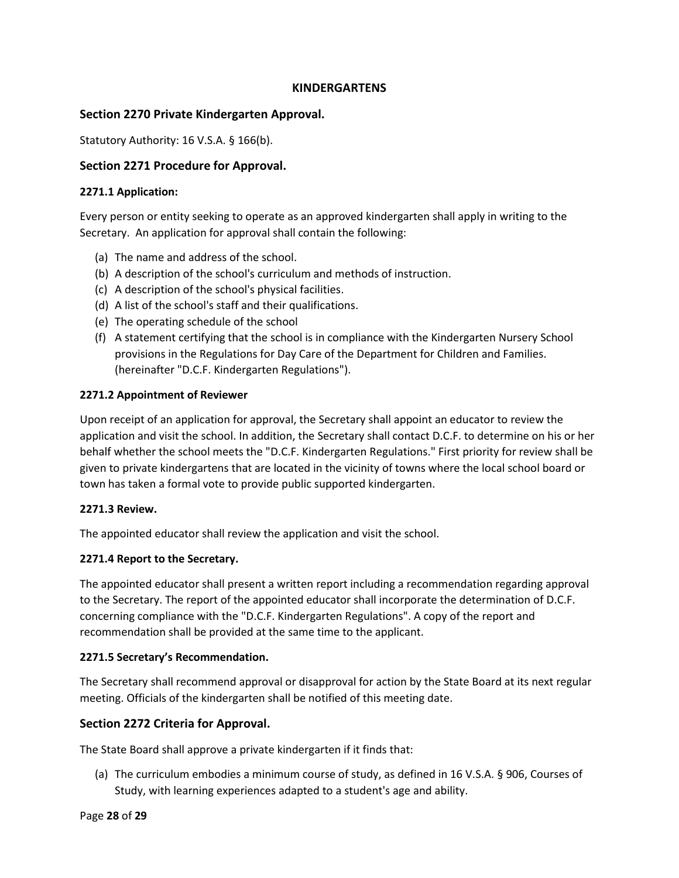## **KINDERGARTENS**

## **Section 2270 Private Kindergarten Approval.**

Statutory Authority: 16 V.S.A. § 166(b).

## **Section 2271 Procedure for Approval.**

### **2271.1 Application:**

Every person or entity seeking to operate as an approved kindergarten shall apply in writing to the Secretary. An application for approval shall contain the following:

- (a) The name and address of the school.
- (b) A description of the school's curriculum and methods of instruction.
- (c) A description of the school's physical facilities.
- (d) A list of the school's staff and their qualifications.
- (e) The operating schedule of the school
- (f) A statement certifying that the school is in compliance with the Kindergarten Nursery School provisions in the Regulations for Day Care of the Department for Children and Families. (hereinafter "D.C.F. Kindergarten Regulations").

### **2271.2 Appointment of Reviewer**

Upon receipt of an application for approval, the Secretary shall appoint an educator to review the application and visit the school. In addition, the Secretary shall contact D.C.F. to determine on his or her behalf whether the school meets the "D.C.F. Kindergarten Regulations." First priority for review shall be given to private kindergartens that are located in the vicinity of towns where the local school board or town has taken a formal vote to provide public supported kindergarten.

### **2271.3 Review.**

The appointed educator shall review the application and visit the school.

### **2271.4 Report to the Secretary.**

The appointed educator shall present a written report including a recommendation regarding approval to the Secretary. The report of the appointed educator shall incorporate the determination of D.C.F. concerning compliance with the "D.C.F. Kindergarten Regulations". A copy of the report and recommendation shall be provided at the same time to the applicant.

### **2271.5 Secretary's Recommendation.**

The Secretary shall recommend approval or disapproval for action by the State Board at its next regular meeting. Officials of the kindergarten shall be notified of this meeting date.

### **Section 2272 Criteria for Approval.**

The State Board shall approve a private kindergarten if it finds that:

(a) The curriculum embodies a minimum course of study, as defined in 16 V.S.A. § 906, Courses of Study, with learning experiences adapted to a student's age and ability.